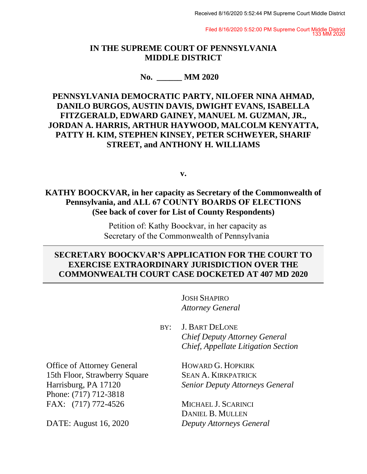Filed 8/16/2020 5:52:00 PM Supreme Court Middle District 133 MM 2020

### **IN THE SUPREME COURT OF PENNSYLVANIA MIDDLE DISTRICT**

#### **No. \_\_\_\_\_\_ MM 2020**

# **PENNSYLVANIA DEMOCRATIC PARTY, NILOFER NINA AHMAD, DANILO BURGOS, AUSTIN DAVIS, DWIGHT EVANS, ISABELLA FITZGERALD, EDWARD GAINEY, MANUEL M. GUZMAN, JR., JORDAN A. HARRIS, ARTHUR HAYWOOD, MALCOLM KENYATTA, PATTY H. KIM, STEPHEN KINSEY, PETER SCHWEYER, SHARIF STREET, and ANTHONY H. WILLIAMS**

#### **v.**

# **KATHY BOOCKVAR, in her capacity as Secretary of the Commonwealth of Pennsylvania, and ALL 67 COUNTY BOARDS OF ELECTIONS (See back of cover for List of County Respondents)**

 Petition of: Kathy Boockvar, in her capacity as Secretary of the Commonwealth of Pennsylvania

# **SECRETARY BOOCKVAR'S APPLICATION FOR THE COURT TO EXERCISE EXTRAORDINARY JURISDICTION OVER THE COMMONWEALTH COURT CASE DOCKETED AT 407 MD 2020**

JOSH SHAPIRO *Attorney General*

BY: J. BART DELONE *Chief Deputy Attorney General Chief, Appellate Litigation Section*

Office of Attorney General 15th Floor, Strawberry Square Harrisburg, PA 17120 Phone: (717) 712-3818 FAX: (717) 772-4526

DATE: August 16, 2020

HOWARD G. HOPKIRK SEAN A. KIRKPATRICK *Senior Deputy Attorneys General*

MICHAEL J. SCARINCI DANIEL B. MULLEN *Deputy Attorneys General*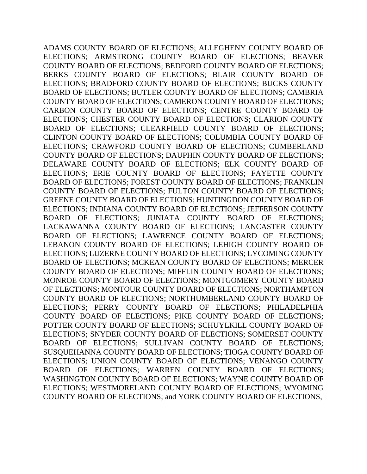ADAMS COUNTY BOARD OF ELECTIONS; ALLEGHENY COUNTY BOARD OF ELECTIONS; ARMSTRONG COUNTY BOARD OF ELECTIONS; BEAVER COUNTY BOARD OF ELECTIONS; BEDFORD COUNTY BOARD OF ELECTIONS; BERKS COUNTY BOARD OF ELECTIONS; BLAIR COUNTY BOARD OF ELECTIONS; BRADFORD COUNTY BOARD OF ELECTIONS; BUCKS COUNTY BOARD OF ELECTIONS; BUTLER COUNTY BOARD OF ELECTIONS; CAMBRIA COUNTY BOARD OF ELECTIONS; CAMERON COUNTY BOARD OF ELECTIONS; CARBON COUNTY BOARD OF ELECTIONS; CENTRE COUNTY BOARD OF ELECTIONS; CHESTER COUNTY BOARD OF ELECTIONS; CLARION COUNTY BOARD OF ELECTIONS; CLEARFIELD COUNTY BOARD OF ELECTIONS; CLINTON COUNTY BOARD OF ELECTIONS; COLUMBIA COUNTY BOARD OF ELECTIONS; CRAWFORD COUNTY BOARD OF ELECTIONS; CUMBERLAND COUNTY BOARD OF ELECTIONS; DAUPHIN COUNTY BOARD OF ELECTIONS; DELAWARE COUNTY BOARD OF ELECTIONS; ELK COUNTY BOARD OF ELECTIONS; ERIE COUNTY BOARD OF ELECTIONS; FAYETTE COUNTY BOARD OF ELECTIONS; FOREST COUNTY BOARD OF ELECTIONS; FRANKLIN COUNTY BOARD OF ELECTIONS; FULTON COUNTY BOARD OF ELECTIONS; GREENE COUNTY BOARD OF ELECTIONS; HUNTINGDON COUNTY BOARD OF ELECTIONS; INDIANA COUNTY BOARD OF ELECTIONS; JEFFERSON COUNTY BOARD OF ELECTIONS; JUNIATA COUNTY BOARD OF ELECTIONS; LACKAWANNA COUNTY BOARD OF ELECTIONS; LANCASTER COUNTY BOARD OF ELECTIONS; LAWRENCE COUNTY BOARD OF ELECTIONS; LEBANON COUNTY BOARD OF ELECTIONS; LEHIGH COUNTY BOARD OF ELECTIONS; LUZERNE COUNTY BOARD OF ELECTIONS; LYCOMING COUNTY BOARD OF ELECTIONS; MCKEAN COUNTY BOARD OF ELECTIONS; MERCER COUNTY BOARD OF ELECTIONS; MIFFLIN COUNTY BOARD OF ELECTIONS; MONROE COUNTY BOARD OF ELECTIONS; MONTGOMERY COUNTY BOARD OF ELECTIONS; MONTOUR COUNTY BOARD OF ELECTIONS; NORTHAMPTON COUNTY BOARD OF ELECTIONS; NORTHUMBERLAND COUNTY BOARD OF ELECTIONS; PERRY COUNTY BOARD OF ELECTIONS; PHILADELPHIA COUNTY BOARD OF ELECTIONS; PIKE COUNTY BOARD OF ELECTIONS; POTTER COUNTY BOARD OF ELECTIONS; SCHUYLKILL COUNTY BOARD OF ELECTIONS; SNYDER COUNTY BOARD OF ELECTIONS; SOMERSET COUNTY BOARD OF ELECTIONS; SULLIVAN COUNTY BOARD OF ELECTIONS; SUSQUEHANNA COUNTY BOARD OF ELECTIONS; TIOGA COUNTY BOARD OF ELECTIONS; UNION COUNTY BOARD OF ELECTIONS; VENANGO COUNTY BOARD OF ELECTIONS; WARREN COUNTY BOARD OF ELECTIONS; WASHINGTON COUNTY BOARD OF ELECTIONS; WAYNE COUNTY BOARD OF ELECTIONS; WESTMORELAND COUNTY BOARD OF ELECTIONS; WYOMING COUNTY BOARD OF ELECTIONS; and YORK COUNTY BOARD OF ELECTIONS,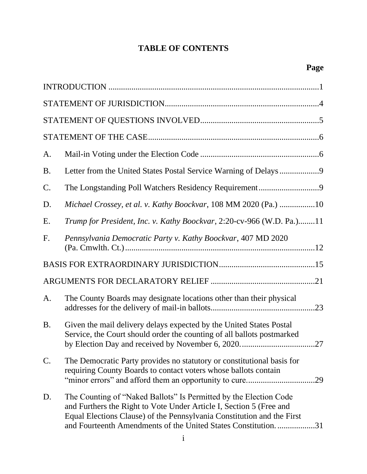# **TABLE OF CONTENTS**

| A.              |                                                                                                                                                                                                                                                                                     |  |  |
|-----------------|-------------------------------------------------------------------------------------------------------------------------------------------------------------------------------------------------------------------------------------------------------------------------------------|--|--|
| <b>B.</b>       |                                                                                                                                                                                                                                                                                     |  |  |
| $\mathcal{C}$ . | The Longstanding Poll Watchers Residency Requirement9                                                                                                                                                                                                                               |  |  |
| D.              | Michael Crossey, et al. v. Kathy Boockvar, 108 MM 2020 (Pa.) 10                                                                                                                                                                                                                     |  |  |
| E.              | Trump for President, Inc. v. Kathy Boockvar, 2:20-cv-966 (W.D. Pa.)11                                                                                                                                                                                                               |  |  |
| F.              | Pennsylvania Democratic Party v. Kathy Boockvar, 407 MD 2020                                                                                                                                                                                                                        |  |  |
|                 |                                                                                                                                                                                                                                                                                     |  |  |
|                 |                                                                                                                                                                                                                                                                                     |  |  |
| A.              | The County Boards may designate locations other than their physical                                                                                                                                                                                                                 |  |  |
| <b>B.</b>       | Given the mail delivery delays expected by the United States Postal<br>Service, the Court should order the counting of all ballots postmarked<br>by Election Day and received by November 6, 2020<br>.27                                                                            |  |  |
| C.              | The Democratic Party provides no statutory or constitutional basis for<br>requiring County Boards to contact voters whose ballots contain                                                                                                                                           |  |  |
| D.              | The Counting of "Naked Ballots" Is Permitted by the Election Code<br>and Furthers the Right to Vote Under Article I, Section 5 (Free and<br>Equal Elections Clause) of the Pennsylvania Constitution and the First<br>and Fourteenth Amendments of the United States Constitution31 |  |  |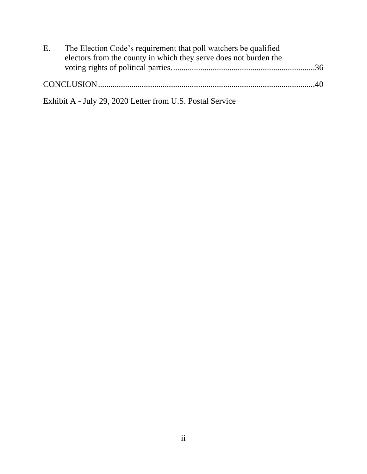| $E_{\rm{L}}$ | The Election Code's requirement that poll watchers be qualified  |  |
|--------------|------------------------------------------------------------------|--|
|              | electors from the county in which they serve does not burden the |  |
|              |                                                                  |  |
|              |                                                                  |  |
|              |                                                                  |  |
|              | Exhibit A - July 29, 2020 Letter from U.S. Postal Service        |  |

ii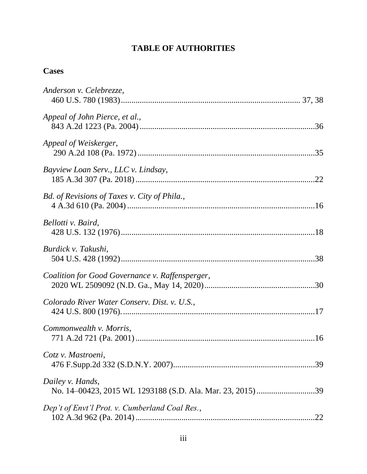# **TABLE OF AUTHORITIES**

# **Cases**

| Anderson v. Celebrezze,                         |
|-------------------------------------------------|
| Appeal of John Pierce, et al.,                  |
| Appeal of Weiskerger,                           |
| Bayview Loan Serv., LLC v. Lindsay,             |
| Bd. of Revisions of Taxes v. City of Phila.,    |
| Bellotti v. Baird,                              |
| Burdick v. Takushi,                             |
| Coalition for Good Governance v. Raffensperger, |
| Colorado River Water Conserv. Dist. v. U.S.,    |
| Commonwealth v. Morris,                         |
| Cotz v. Mastroeni,                              |
| Dailey v. Hands,                                |
| Dep't of Envt'l Prot. v. Cumberland Coal Res.,  |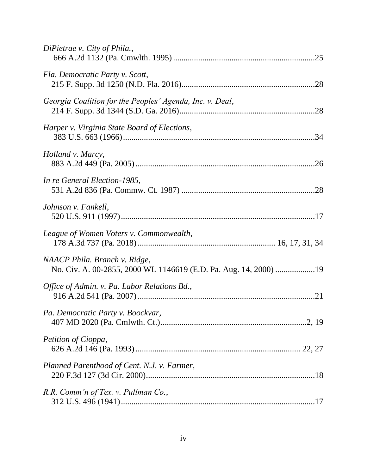| DiPietrae v. City of Phila.,                                                                      |
|---------------------------------------------------------------------------------------------------|
| Fla. Democratic Party v. Scott,                                                                   |
| Georgia Coalition for the Peoples' Agenda, Inc. v. Deal,                                          |
| Harper v. Virginia State Board of Elections,                                                      |
| Holland v. Marcy,                                                                                 |
| In re General Election-1985,                                                                      |
| Johnson v. Fankell,                                                                               |
| League of Women Voters v. Commonwealth,                                                           |
| NAACP Phila. Branch v. Ridge,<br>No. Civ. A. 00-2855, 2000 WL 1146619 (E.D. Pa. Aug. 14, 2000) 19 |
| Office of Admin. v. Pa. Labor Relations Bd.,                                                      |
| Pa. Democratic Party v. Boockvar,                                                                 |
| Petition of Cioppa,                                                                               |
| Planned Parenthood of Cent. N.J. v. Farmer,                                                       |
| R.R. Comm'n of Tex. v. Pullman Co.,                                                               |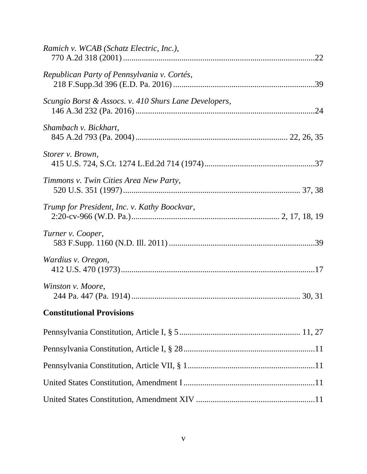| Ramich v. WCAB (Schatz Electric, Inc.),               |  |
|-------------------------------------------------------|--|
| Republican Party of Pennsylvania v. Cortés,           |  |
| Scungio Borst & Assocs. v. 410 Shurs Lane Developers, |  |
| Shambach v. Bickhart,                                 |  |
| Storer v. Brown,                                      |  |
| Timmons v. Twin Cities Area New Party,                |  |
| Trump for President, Inc. v. Kathy Boockvar,          |  |
| Turner v. Cooper,                                     |  |
| Wardius v. Oregon,                                    |  |
| Winston v. Moore,                                     |  |
| <b>Constitutional Provisions</b>                      |  |
|                                                       |  |
|                                                       |  |
|                                                       |  |
|                                                       |  |
|                                                       |  |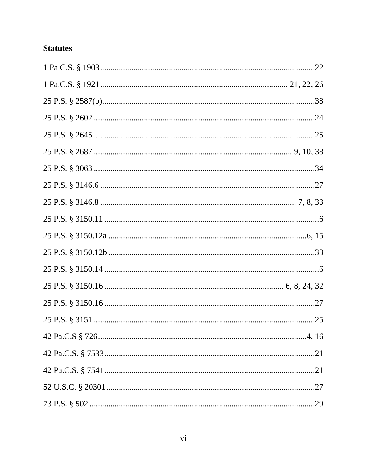# **Statutes**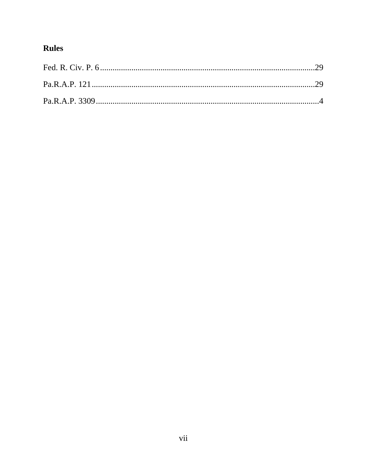# Rules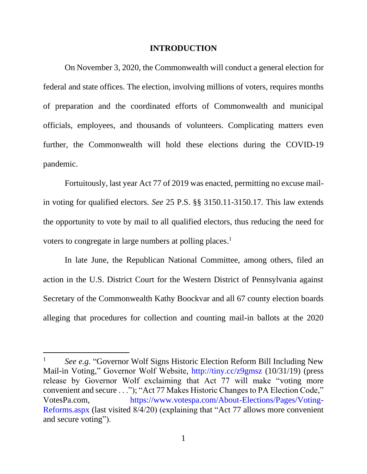#### **INTRODUCTION**

<span id="page-9-0"></span>On November 3, 2020, the Commonwealth will conduct a general election for federal and state offices. The election, involving millions of voters, requires months of preparation and the coordinated efforts of Commonwealth and municipal officials, employees, and thousands of volunteers. Complicating matters even further, the Commonwealth will hold these elections during the COVID-19 pandemic.

Fortuitously, last year Act 77 of 2019 was enacted, permitting no excuse mailin voting for qualified electors. *See* 25 P.S. §§ 3150.11-3150.17. This law extends the opportunity to vote by mail to all qualified electors, thus reducing the need for voters to congregate in large numbers at polling places.<sup>1</sup>

In late June, the Republican National Committee, among others, filed an action in the U.S. District Court for the Western District of Pennsylvania against Secretary of the Commonwealth Kathy Boockvar and all 67 county election boards alleging that procedures for collection and counting mail-in ballots at the 2020

<sup>&</sup>lt;sup>1</sup> See e.g. "Governor Wolf Signs Historic Election Reform Bill Including New Mail-in Voting," Governor Wolf Website,<http://tiny.cc/z9gmsz> (10/31/19) (press release by Governor Wolf exclaiming that Act 77 will make "voting more convenient and secure . . ."); "Act 77 Makes Historic Changes to PA Election Code," VotesPa.com, [https://www.votespa.com/About-Elections/Pages/Voting-](https://www.votespa.com/About-Elections/Pages/Voting-Reforms.aspx)[Reforms.aspx](https://www.votespa.com/About-Elections/Pages/Voting-Reforms.aspx) (last visited 8/4/20) (explaining that "Act 77 allows more convenient and secure voting").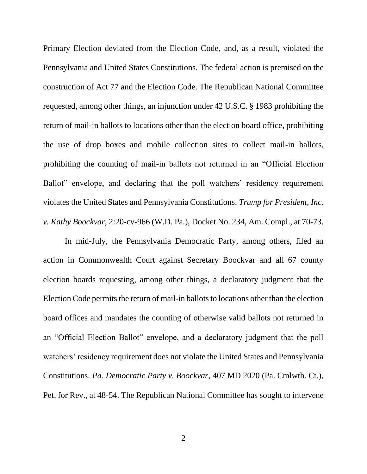Primary Election deviated from the Election Code, and, as a result, violated the Pennsylvania and United States Constitutions. The federal action is premised on the construction of Act 77 and the Election Code. The Republican National Committee requested, among other things, an injunction under 42 U.S.C. § 1983 prohibiting the return of mail-in ballots to locations other than the election board office, prohibiting the use of drop boxes and mobile collection sites to collect mail-in ballots, prohibiting the counting of mail-in ballots not returned in an "Official Election Ballot" envelope, and declaring that the poll watchers' residency requirement violates the United States and Pennsylvania Constitutions. *Trump for President, Inc. v. Kathy Boockvar*, 2:20-cv-966 (W.D. Pa.), Docket No. 234, Am. Compl., at 70-73.

In mid-July, the Pennsylvania Democratic Party, among others, filed an action in Commonwealth Court against Secretary Boockvar and all 67 county election boards requesting, among other things, a declaratory judgment that the Election Code permits the return of mail-in ballots to locations other than the election board offices and mandates the counting of otherwise valid ballots not returned in an "Official Election Ballot" envelope, and a declaratory judgment that the poll watchers' residency requirement does not violate the United States and Pennsylvania Constitutions. *Pa. Democratic Party v. Boockvar*, 407 MD 2020 (Pa. Cmlwth. Ct.), Pet. for Rev., at 48-54. The Republican National Committee has sought to intervene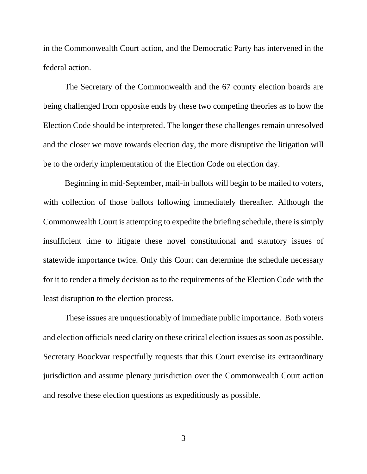in the Commonwealth Court action, and the Democratic Party has intervened in the federal action.

The Secretary of the Commonwealth and the 67 county election boards are being challenged from opposite ends by these two competing theories as to how the Election Code should be interpreted. The longer these challenges remain unresolved and the closer we move towards election day, the more disruptive the litigation will be to the orderly implementation of the Election Code on election day.

Beginning in mid-September, mail-in ballots will begin to be mailed to voters, with collection of those ballots following immediately thereafter. Although the Commonwealth Court is attempting to expedite the briefing schedule, there is simply insufficient time to litigate these novel constitutional and statutory issues of statewide importance twice. Only this Court can determine the schedule necessary for it to render a timely decision as to the requirements of the Election Code with the least disruption to the election process.

These issues are unquestionably of immediate public importance. Both voters and election officials need clarity on these critical election issues as soon as possible. Secretary Boockvar respectfully requests that this Court exercise its extraordinary jurisdiction and assume plenary jurisdiction over the Commonwealth Court action and resolve these election questions as expeditiously as possible.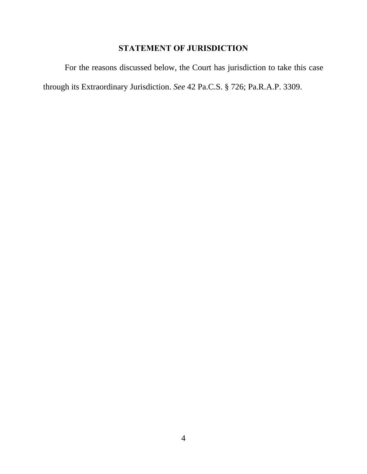# **STATEMENT OF JURISDICTION**

<span id="page-12-0"></span>For the reasons discussed below, the Court has jurisdiction to take this case through its Extraordinary Jurisdiction. *See* 42 Pa.C.S. § 726; Pa.R.A.P. 3309.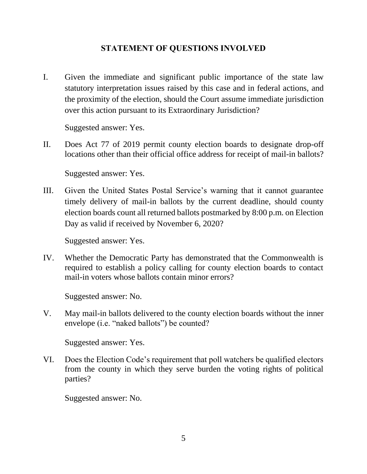# **STATEMENT OF QUESTIONS INVOLVED**

<span id="page-13-0"></span>I. Given the immediate and significant public importance of the state law statutory interpretation issues raised by this case and in federal actions, and the proximity of the election, should the Court assume immediate jurisdiction over this action pursuant to its Extraordinary Jurisdiction?

Suggested answer: Yes.

II. Does Act 77 of 2019 permit county election boards to designate drop-off locations other than their official office address for receipt of mail-in ballots?

Suggested answer: Yes.

III. Given the United States Postal Service's warning that it cannot guarantee timely delivery of mail-in ballots by the current deadline, should county election boards count all returned ballots postmarked by 8:00 p.m. on Election Day as valid if received by November 6, 2020?

Suggested answer: Yes.

IV. Whether the Democratic Party has demonstrated that the Commonwealth is required to establish a policy calling for county election boards to contact mail-in voters whose ballots contain minor errors?

Suggested answer: No.

V. May mail-in ballots delivered to the county election boards without the inner envelope (i.e. "naked ballots") be counted?

Suggested answer: Yes.

VI. Does the Election Code's requirement that poll watchers be qualified electors from the county in which they serve burden the voting rights of political parties?

Suggested answer: No.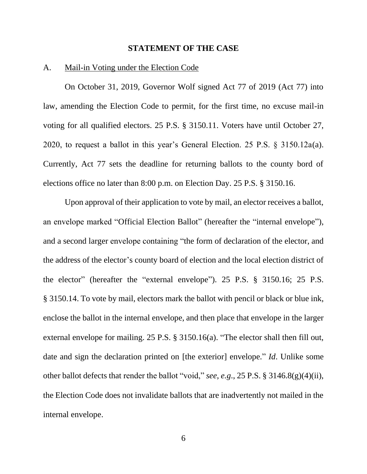#### **STATEMENT OF THE CASE**

#### <span id="page-14-1"></span><span id="page-14-0"></span>A. Mail-in Voting under the Election Code

On October 31, 2019, Governor Wolf signed Act 77 of 2019 (Act 77) into law, amending the Election Code to permit, for the first time, no excuse mail-in voting for all qualified electors. 25 P.S. § 3150.11. Voters have until October 27, 2020, to request a ballot in this year's General Election. 25 P.S. § 3150.12a(a). Currently, Act 77 sets the deadline for returning ballots to the county bord of elections office no later than 8:00 p.m. on Election Day. 25 P.S. § 3150.16.

Upon approval of their application to vote by mail, an elector receives a ballot, an envelope marked "Official Election Ballot" (hereafter the "internal envelope"), and a second larger envelope containing "the form of declaration of the elector, and the address of the elector's county board of election and the local election district of the elector" (hereafter the "external envelope"). 25 P.S. § 3150.16; 25 P.S. § 3150.14. To vote by mail, electors mark the ballot with pencil or black or blue ink, enclose the ballot in the internal envelope, and then place that envelope in the larger external envelope for mailing. 25 P.S. § 3150.16(a). "The elector shall then fill out, date and sign the declaration printed on [the exterior] envelope." *Id*. Unlike some other ballot defects that render the ballot "void," *see*, *e.g*., 25 P.S. § 3146.8(g)(4)(ii), the Election Code does not invalidate ballots that are inadvertently not mailed in the internal envelope.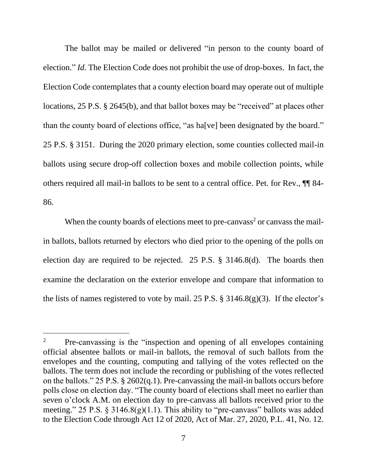The ballot may be mailed or delivered "in person to the county board of election." *Id.* The Election Code does not prohibit the use of drop-boxes. In fact, the Election Code contemplates that a county election board may operate out of multiple locations, 25 P.S. § 2645(b), and that ballot boxes may be "received" at places other than the county board of elections office, "as ha[ve] been designated by the board." 25 P.S. § 3151. During the 2020 primary election, some counties collected mail-in ballots using secure drop-off collection boxes and mobile collection points, while others required all mail-in ballots to be sent to a central office. Pet. for Rev., ¶¶ 84- 86.

When the county boards of elections meet to pre-canvass<sup>2</sup> or canvass the mailin ballots, ballots returned by electors who died prior to the opening of the polls on election day are required to be rejected. 25 P.S. § 3146.8(d). The boards then examine the declaration on the exterior envelope and compare that information to the lists of names registered to vote by mail. 25 P.S.  $\S$  3146.8(g)(3). If the elector's

<sup>&</sup>lt;sup>2</sup> Pre-canvassing is the "inspection and opening of all envelopes containing official absentee ballots or mail-in ballots, the removal of such ballots from the envelopes and the counting, computing and tallying of the votes reflected on the ballots. The term does not include the recording or publishing of the votes reflected on the ballots." 25 P.S. § 2602(q.1). Pre-canvassing the mail-in ballots occurs before polls close on election day. "The county board of elections shall meet no earlier than seven o'clock A.M. on election day to pre-canvass all ballots received prior to the meeting." 25 P.S.  $\S$  3146.8(g)(1.1). This ability to "pre-canvass" ballots was added to the Election Code through Act 12 of 2020, Act of Mar. 27, 2020, P.L. 41, No. 12.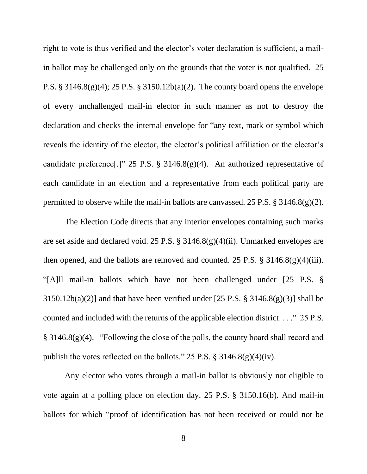right to vote is thus verified and the elector's voter declaration is sufficient, a mailin ballot may be challenged only on the grounds that the voter is not qualified. 25 P.S. § 3146.8(g)(4); 25 P.S. § 3150.12b(a)(2). The county board opens the envelope of every unchallenged mail-in elector in such manner as not to destroy the declaration and checks the internal envelope for "any text, mark or symbol which reveals the identity of the elector, the elector's political affiliation or the elector's candidate preference[.]" 25 P.S. § 3146.8(g)(4). An authorized representative of each candidate in an election and a representative from each political party are permitted to observe while the mail-in ballots are canvassed. 25 P.S.  $\S$  3146.8(g)(2).

The Election Code directs that any interior envelopes containing such marks are set aside and declared void. 25 P.S. § 3146.8(g)(4)(ii). Unmarked envelopes are then opened, and the ballots are removed and counted. 25 P.S. § 3146.8(g)(4)(iii)*.*  "[A]ll mail-in ballots which have not been challenged under [25 P.S. §  $3150.12b(a)(2)$ ] and that have been verified under [25 P.S. § 3146.8(g)(3)] shall be counted and included with the returns of the applicable election district. . . ." 25 P.S. § 3146.8(g)(4)."Following the close of the polls, the county board shall record and publish the votes reflected on the ballots." 25 P.S.  $\S$  3146.8(g)(4)(iv).

Any elector who votes through a mail-in ballot is obviously not eligible to vote again at a polling place on election day. 25 P.S. § 3150.16(b). And mail-in ballots for which "proof of identification has not been received or could not be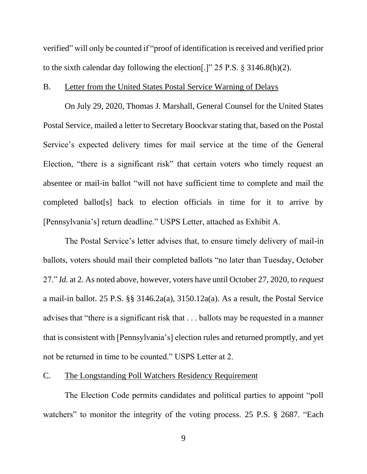verified" will only be counted if "proof of identification is received and verified prior to the sixth calendar day following the election[.]" 25 P.S. § 3146.8(h)(2).

#### <span id="page-17-0"></span>B. Letter from the United States Postal Service Warning of Delays

On July 29, 2020, Thomas J. Marshall, General Counsel for the United States Postal Service, mailed a letter to Secretary Boockvar stating that, based on the Postal Service's expected delivery times for mail service at the time of the General Election, "there is a significant risk" that certain voters who timely request an absentee or mail-in ballot "will not have sufficient time to complete and mail the completed ballot[s] back to election officials in time for it to arrive by [Pennsylvania's] return deadline." USPS Letter, attached as Exhibit A.

The Postal Service's letter advises that, to ensure timely delivery of mail-in ballots, voters should mail their completed ballots "no later than Tuesday, October 27." *Id.* at 2. As noted above, however, voters have until October 27, 2020, to *request* a mail-in ballot. 25 P.S. §§ 3146.2a(a), 3150.12a(a). As a result, the Postal Service advises that "there is a significant risk that . . . ballots may be requested in a manner that is consistent with [Pennsylvania's] election rules and returned promptly, and yet not be returned in time to be counted." USPS Letter at 2.

#### <span id="page-17-1"></span>C. The Longstanding Poll Watchers Residency Requirement

The Election Code permits candidates and political parties to appoint "poll watchers" to monitor the integrity of the voting process. 25 P.S. § 2687. "Each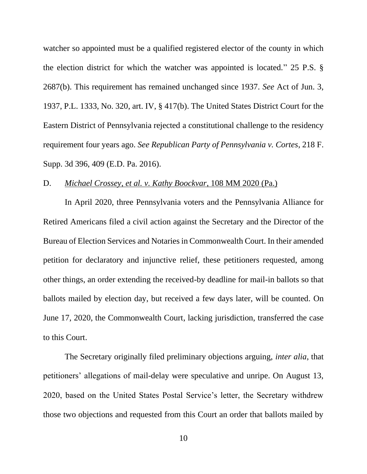watcher so appointed must be a qualified registered elector of the county in which the election district for which the watcher was appointed is located." 25 P.S. § 2687(b). This requirement has remained unchanged since 1937. *See* Act of Jun. 3, 1937, P.L. 1333, No. 320, art. IV, § 417(b). The United States District Court for the Eastern District of Pennsylvania rejected a constitutional challenge to the residency requirement four years ago. *See Republican Party of Pennsylvania v. Cortes*, 218 F. Supp. 3d 396, 409 (E.D. Pa. 2016).

#### <span id="page-18-0"></span>D. *Michael Crossey, et al. v. Kathy Boockvar*, 108 MM 2020 (Pa.)

In April 2020, three Pennsylvania voters and the Pennsylvania Alliance for Retired Americans filed a civil action against the Secretary and the Director of the Bureau of Election Services and Notaries in Commonwealth Court. In their amended petition for declaratory and injunctive relief, these petitioners requested, among other things, an order extending the received-by deadline for mail-in ballots so that ballots mailed by election day, but received a few days later, will be counted. On June 17, 2020, the Commonwealth Court, lacking jurisdiction, transferred the case to this Court.

The Secretary originally filed preliminary objections arguing, *inter alia*, that petitioners' allegations of mail-delay were speculative and unripe. On August 13, 2020, based on the United States Postal Service's letter, the Secretary withdrew those two objections and requested from this Court an order that ballots mailed by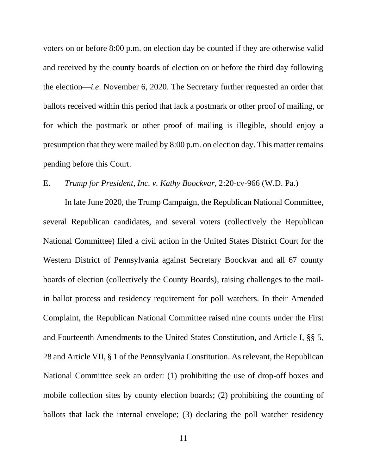voters on or before 8:00 p.m. on election day be counted if they are otherwise valid and received by the county boards of election on or before the third day following the election—*i.e*. November 6, 2020. The Secretary further requested an order that ballots received within this period that lack a postmark or other proof of mailing, or for which the postmark or other proof of mailing is illegible, should enjoy a presumption that they were mailed by 8:00 p.m. on election day. This matter remains pending before this Court.

### <span id="page-19-0"></span>E. *Trump for President, Inc. v. Kathy Boockvar*, 2:20-cv-966 (W.D. Pa.)

In late June 2020, the Trump Campaign, the Republican National Committee, several Republican candidates, and several voters (collectively the Republican National Committee) filed a civil action in the United States District Court for the Western District of Pennsylvania against Secretary Boockvar and all 67 county boards of election (collectively the County Boards), raising challenges to the mailin ballot process and residency requirement for poll watchers. In their Amended Complaint, the Republican National Committee raised nine counts under the First and Fourteenth Amendments to the United States Constitution, and Article I, §§ 5, 28 and Article VII, § 1 of the Pennsylvania Constitution. As relevant, the Republican National Committee seek an order: (1) prohibiting the use of drop-off boxes and mobile collection sites by county election boards; (2) prohibiting the counting of ballots that lack the internal envelope; (3) declaring the poll watcher residency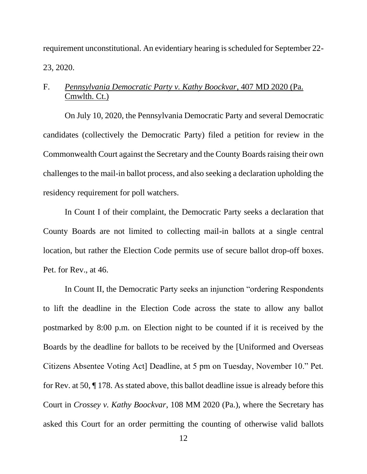requirement unconstitutional. An evidentiary hearing is scheduled for September 22- 23, 2020.

# <span id="page-20-0"></span>F. *Pennsylvania Democratic Party v. Kathy Boockvar*, 407 MD 2020 (Pa. Cmwlth. Ct.)

On July 10, 2020, the Pennsylvania Democratic Party and several Democratic candidates (collectively the Democratic Party) filed a petition for review in the Commonwealth Court against the Secretary and the County Boards raising their own challenges to the mail-in ballot process, and also seeking a declaration upholding the residency requirement for poll watchers.

In Count I of their complaint, the Democratic Party seeks a declaration that County Boards are not limited to collecting mail-in ballots at a single central location, but rather the Election Code permits use of secure ballot drop-off boxes. Pet. for Rev., at 46.

In Count II, the Democratic Party seeks an injunction "ordering Respondents to lift the deadline in the Election Code across the state to allow any ballot postmarked by 8:00 p.m. on Election night to be counted if it is received by the Boards by the deadline for ballots to be received by the [Uniformed and Overseas Citizens Absentee Voting Act] Deadline, at 5 pm on Tuesday, November 10." Pet. for Rev. at 50, ¶ 178. As stated above, this ballot deadline issue is already before this Court in *Crossey v. Kathy Boockvar*, 108 MM 2020 (Pa.), where the Secretary has asked this Court for an order permitting the counting of otherwise valid ballots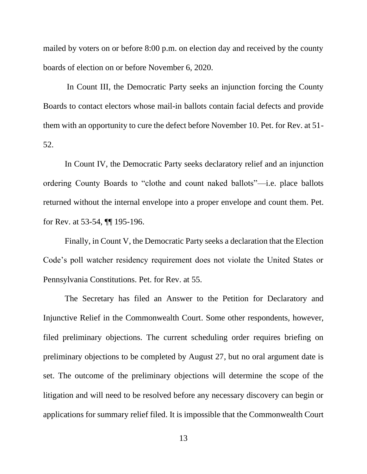mailed by voters on or before 8:00 p.m. on election day and received by the county boards of election on or before November 6, 2020.

In Count III, the Democratic Party seeks an injunction forcing the County Boards to contact electors whose mail-in ballots contain facial defects and provide them with an opportunity to cure the defect before November 10. Pet. for Rev. at 51- 52.

In Count IV, the Democratic Party seeks declaratory relief and an injunction ordering County Boards to "clothe and count naked ballots"—i.e. place ballots returned without the internal envelope into a proper envelope and count them. Pet. for Rev. at 53-54, ¶¶ 195-196.

Finally, in Count V, the Democratic Party seeks a declaration that the Election Code's poll watcher residency requirement does not violate the United States or Pennsylvania Constitutions. Pet. for Rev. at 55.

The Secretary has filed an Answer to the Petition for Declaratory and Injunctive Relief in the Commonwealth Court. Some other respondents, however, filed preliminary objections. The current scheduling order requires briefing on preliminary objections to be completed by August 27, but no oral argument date is set. The outcome of the preliminary objections will determine the scope of the litigation and will need to be resolved before any necessary discovery can begin or applications for summary relief filed. It is impossible that the Commonwealth Court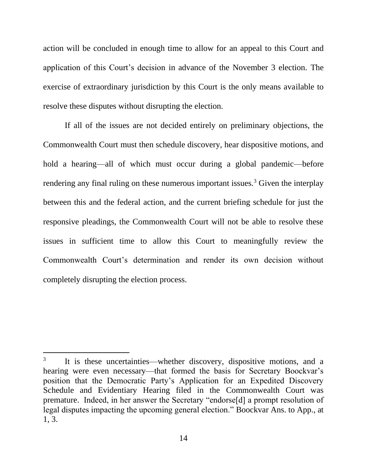action will be concluded in enough time to allow for an appeal to this Court and application of this Court's decision in advance of the November 3 election. The exercise of extraordinary jurisdiction by this Court is the only means available to resolve these disputes without disrupting the election.

If all of the issues are not decided entirely on preliminary objections, the Commonwealth Court must then schedule discovery, hear dispositive motions, and hold a hearing—all of which must occur during a global pandemic—before rendering any final ruling on these numerous important issues.<sup>3</sup> Given the interplay between this and the federal action, and the current briefing schedule for just the responsive pleadings, the Commonwealth Court will not be able to resolve these issues in sufficient time to allow this Court to meaningfully review the Commonwealth Court's determination and render its own decision without completely disrupting the election process.

<sup>3</sup> It is these uncertainties—whether discovery, dispositive motions, and a hearing were even necessary—that formed the basis for Secretary Boockvar's position that the Democratic Party's Application for an Expedited Discovery Schedule and Evidentiary Hearing filed in the Commonwealth Court was premature. Indeed, in her answer the Secretary "endorse[d] a prompt resolution of legal disputes impacting the upcoming general election." Boockvar Ans. to App., at 1, 3.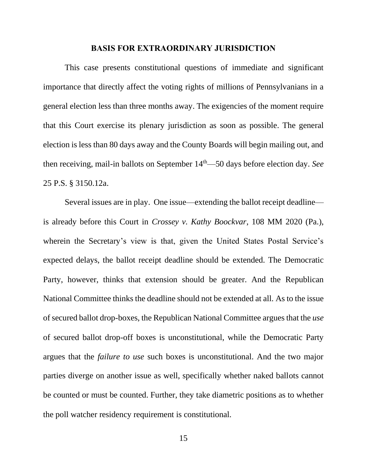#### **BASIS FOR EXTRAORDINARY JURISDICTION**

<span id="page-23-0"></span>This case presents constitutional questions of immediate and significant importance that directly affect the voting rights of millions of Pennsylvanians in a general election less than three months away. The exigencies of the moment require that this Court exercise its plenary jurisdiction as soon as possible. The general election is less than 80 days away and the County Boards will begin mailing out, and then receiving, mail-in ballots on September 14<sup>th</sup>—50 days before election day. *See* 25 P.S. § 3150.12a.

Several issues are in play. One issue—extending the ballot receipt deadline is already before this Court in *Crossey v. Kathy Boockvar*, 108 MM 2020 (Pa.), wherein the Secretary's view is that, given the United States Postal Service's expected delays, the ballot receipt deadline should be extended. The Democratic Party, however, thinks that extension should be greater. And the Republican National Committee thinks the deadline should not be extended at all. As to the issue of secured ballot drop-boxes, the Republican National Committee argues that the *use* of secured ballot drop-off boxes is unconstitutional, while the Democratic Party argues that the *failure to use* such boxes is unconstitutional. And the two major parties diverge on another issue as well, specifically whether naked ballots cannot be counted or must be counted. Further, they take diametric positions as to whether the poll watcher residency requirement is constitutional.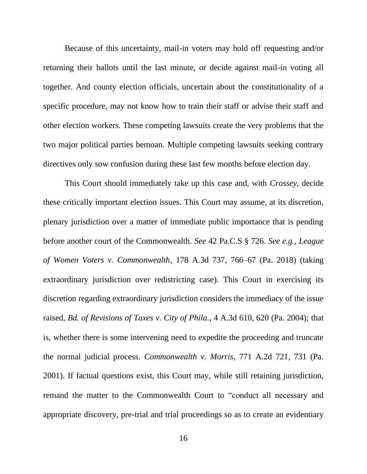Because of this uncertainty, mail-in voters may hold off requesting and/or returning their ballots until the last minute, or decide against mail-in voting all together. And county election officials, uncertain about the constitutionality of a specific procedure, may not know how to train their staff or advise their staff and other election workers. These competing lawsuits create the very problems that the two major political parties bemoan. Multiple competing lawsuits seeking contrary directives only sow confusion during these last few months before election day.

This Court should immediately take up this case and, with *Crossey*, decide these critically important election issues. This Court may assume, at its discretion, plenary jurisdiction over a matter of immediate public importance that is pending before another court of the Commonwealth. *See* 42 Pa.C.S § 726. *See e.g., League of Women Voters v. Commonwealth*, 178 A.3d 737, 766–67 (Pa. 2018) (taking extraordinary jurisdiction over redistricting case). This Court in exercising its discretion regarding extraordinary jurisdiction considers the immediacy of the issue raised, *Bd. of Revisions of Taxes v. City of Phila.*, 4 A.3d 610, 620 (Pa. 2004); that is, whether there is some intervening need to expedite the proceeding and truncate the normal judicial process. *Commonwealth v. Morris*, 771 A.2d 721, 731 (Pa. 2001). If factual questions exist, this Court may, while still retaining jurisdiction, remand the matter to the Commonwealth Court to "conduct all necessary and appropriate discovery, pre-trial and trial proceedings so as to create an evidentiary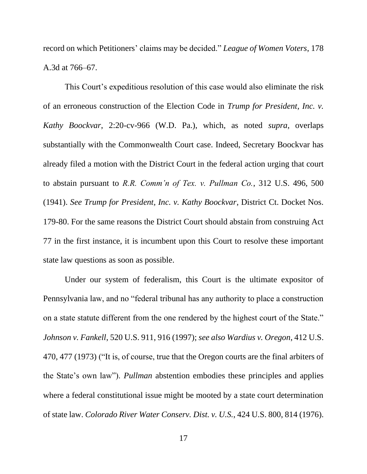record on which Petitioners' claims may be decided." *League of Women Voters*, 178 A.3d at 766–67.

This Court's expeditious resolution of this case would also eliminate the risk of an erroneous construction of the Election Code in *Trump for President, Inc. v. Kathy Boockvar*, 2:20-cv-966 (W.D. Pa.), which, as noted *supra*, overlaps substantially with the Commonwealth Court case. Indeed, Secretary Boockvar has already filed a motion with the District Court in the federal action urging that court to abstain pursuant to *R.R. Comm'n of Tex. v. Pullman Co.*, 312 U.S. 496, 500 (1941). *See Trump for President, Inc. v. Kathy Boockvar*, District Ct. Docket Nos. 179-80. For the same reasons the District Court should abstain from construing Act 77 in the first instance, it is incumbent upon this Court to resolve these important state law questions as soon as possible.

Under our system of federalism, this Court is the ultimate expositor of Pennsylvania law, and no "federal tribunal has any authority to place a construction on a state statute different from the one rendered by the highest court of the State." *Johnson v. Fankell*, 520 U.S. 911, 916 (1997); *see also Wardius v. Oregon*, 412 U.S. 470, 477 (1973) ("It is, of course, true that the Oregon courts are the final arbiters of the State's own law"). *Pullman* abstention embodies these principles and applies where a federal constitutional issue might be mooted by a state court determination of state law. *Colorado River Water Conserv. Dist. v. U.S.*, 424 U.S. 800, 814 (1976).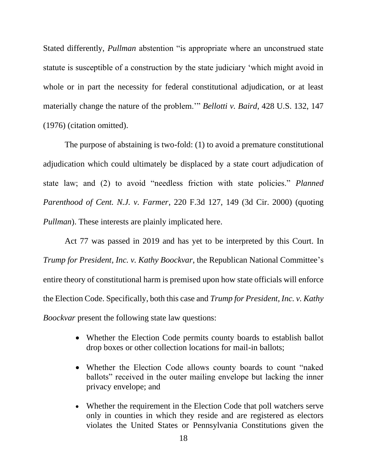Stated differently, *Pullman* abstention "is appropriate where an unconstrued state statute is susceptible of a construction by the state judiciary 'which might avoid in whole or in part the necessity for federal constitutional adjudication, or at least materially change the nature of the problem.'" *Bellotti v. Baird*, 428 U.S. 132, 147 (1976) (citation omitted).

The purpose of abstaining is two-fold: (1) to avoid a premature constitutional adjudication which could ultimately be displaced by a state court adjudication of state law; and (2) to avoid "needless friction with state policies." *Planned Parenthood of Cent. N.J. v. Farmer*, 220 F.3d 127, 149 (3d Cir. 2000) (quoting *Pullman*). These interests are plainly implicated here.

Act 77 was passed in 2019 and has yet to be interpreted by this Court. In *Trump for President, Inc. v. Kathy Boockvar*, the Republican National Committee's entire theory of constitutional harm is premised upon how state officials will enforce the Election Code. Specifically, both this case and *Trump for President, Inc. v. Kathy Boockvar* present the following state law questions:

- Whether the Election Code permits county boards to establish ballot drop boxes or other collection locations for mail-in ballots;
- Whether the Election Code allows county boards to count "naked ballots" received in the outer mailing envelope but lacking the inner privacy envelope; and
- Whether the requirement in the Election Code that poll watchers serve only in counties in which they reside and are registered as electors violates the United States or Pennsylvania Constitutions given the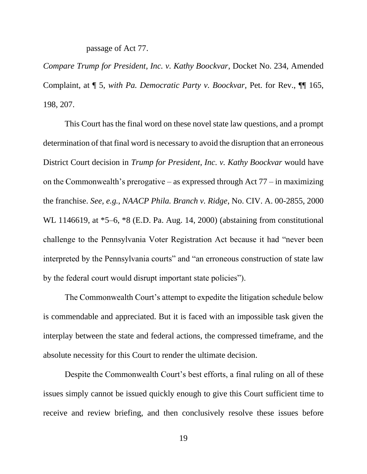passage of Act 77.

*Compare Trump for President, Inc. v. Kathy Boockvar*, Docket No. 234, Amended Complaint, at ¶ 5, *with Pa. Democratic Party v. Boockvar*, Pet. for Rev., ¶¶ 165, 198, 207.

This Court has the final word on these novel state law questions, and a prompt determination of that final word is necessary to avoid the disruption that an erroneous District Court decision in *Trump for President, Inc. v. Kathy Boockvar* would have on the Commonwealth's prerogative – as expressed through Act  $77$  – in maximizing the franchise. *See, e.g.*, *NAACP Phila. Branch v. Ridge*, No. CIV. A. 00-2855, 2000 WL 1146619, at \*5–6, \*8 (E.D. Pa. Aug. 14, 2000) (abstaining from constitutional challenge to the Pennsylvania Voter Registration Act because it had "never been interpreted by the Pennsylvania courts" and "an erroneous construction of state law by the federal court would disrupt important state policies").

The Commonwealth Court's attempt to expedite the litigation schedule below is commendable and appreciated. But it is faced with an impossible task given the interplay between the state and federal actions, the compressed timeframe, and the absolute necessity for this Court to render the ultimate decision.

Despite the Commonwealth Court's best efforts, a final ruling on all of these issues simply cannot be issued quickly enough to give this Court sufficient time to receive and review briefing, and then conclusively resolve these issues before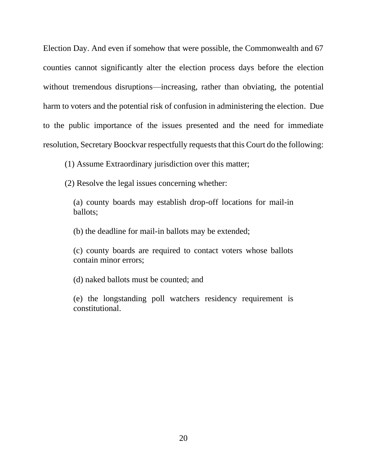Election Day. And even if somehow that were possible, the Commonwealth and 67 counties cannot significantly alter the election process days before the election without tremendous disruptions—increasing, rather than obviating, the potential harm to voters and the potential risk of confusion in administering the election. Due to the public importance of the issues presented and the need for immediate resolution, Secretary Boockvar respectfully requests that this Court do the following:

(1) Assume Extraordinary jurisdiction over this matter;

(2) Resolve the legal issues concerning whether:

(a) county boards may establish drop-off locations for mail-in ballots;

(b) the deadline for mail-in ballots may be extended;

(c) county boards are required to contact voters whose ballots contain minor errors;

(d) naked ballots must be counted; and

(e) the longstanding poll watchers residency requirement is constitutional.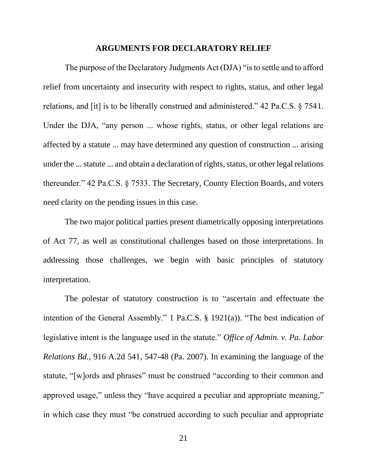#### **ARGUMENTS FOR DECLARATORY RELIEF**

<span id="page-29-0"></span>The purpose of the Declaratory Judgments Act (DJA) "is to settle and to afford relief from uncertainty and insecurity with respect to rights, status, and other legal relations, and [it] is to be liberally construed and administered." 42 Pa.C.S. § 7541. Under the DJA, "any person ... whose rights, status, or other legal relations are affected by a statute ... may have determined any question of construction ... arising under the ... statute ... and obtain a declaration of rights, status, or other legal relations thereunder." 42 Pa.C.S. § 7533. The Secretary, County Election Boards, and voters need clarity on the pending issues in this case.

The two major political parties present diametrically opposing interpretations of Act 77, as well as constitutional challenges based on those interpretations. In addressing those challenges, we begin with basic principles of statutory interpretation.

The polestar of statutory construction is to "ascertain and effectuate the intention of the General Assembly." 1 Pa.C.S. § 1921(a)). "The best indication of legislative intent is the language used in the statute." *Office of Admin. v. Pa. Labor Relations Bd.*, 916 A.2d 541, 547-48 (Pa. 2007). In examining the language of the statute, "[w]ords and phrases" must be construed "according to their common and approved usage," unless they "have acquired a peculiar and appropriate meaning," in which case they must "be construed according to such peculiar and appropriate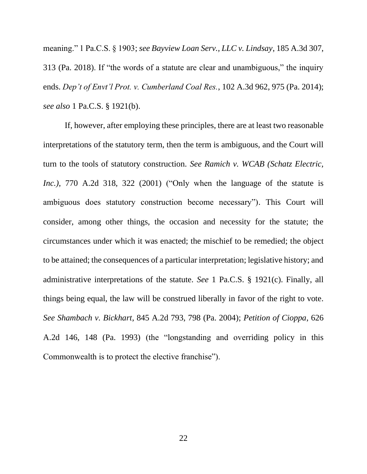meaning." 1 Pa.C.S. § 1903; *see Bayview Loan Serv., LLC v. Lindsay*, 185 A.3d 307, 313 (Pa. 2018). If "the words of a statute are clear and unambiguous," the inquiry ends. *Dep't of Envt'l Prot. v. Cumberland Coal Res.*, 102 A.3d 962, 975 (Pa. 2014); *see also* 1 Pa.C.S. § 1921(b).

If, however, after employing these principles, there are at least two reasonable interpretations of the statutory term, then the term is ambiguous, and the Court will turn to the tools of statutory construction. *See Ramich v. WCAB (Schatz Electric, Inc.)*, 770 A.2d 318, 322 (2001) ("Only when the language of the statute is ambiguous does statutory construction become necessary"). This Court will consider, among other things, the occasion and necessity for the statute; the circumstances under which it was enacted; the mischief to be remedied; the object to be attained; the consequences of a particular interpretation; legislative history; and administrative interpretations of the statute. *See* 1 Pa.C.S. § 1921(c). Finally, all things being equal, the law will be construed liberally in favor of the right to vote. *See Shambach v. Bickhart*, 845 A.2d 793, 798 (Pa. 2004); *Petition of Cioppa*, 626 A.2d 146, 148 (Pa. 1993) (the "longstanding and overriding policy in this Commonwealth is to protect the elective franchise").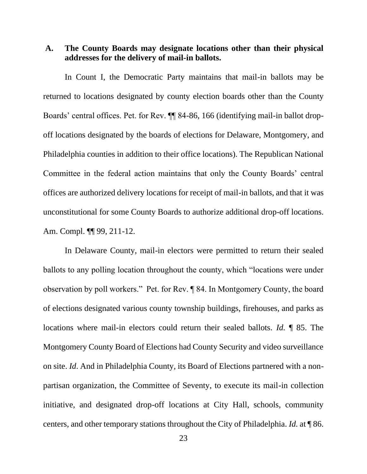<span id="page-31-0"></span>**A. The County Boards may designate locations other than their physical addresses for the delivery of mail-in ballots.**

In Count I, the Democratic Party maintains that mail-in ballots may be returned to locations designated by county election boards other than the County Boards' central offices. Pet. for Rev. ¶¶ 84-86, 166 (identifying mail-in ballot dropoff locations designated by the boards of elections for Delaware, Montgomery, and Philadelphia counties in addition to their office locations). The Republican National Committee in the federal action maintains that only the County Boards' central offices are authorized delivery locations for receipt of mail-in ballots, and that it was unconstitutional for some County Boards to authorize additional drop-off locations. Am. Compl. ¶¶ 99, 211-12.

In Delaware County, mail-in electors were permitted to return their sealed ballots to any polling location throughout the county, which "locations were under observation by poll workers." Pet. for Rev. ¶ 84. In Montgomery County, the board of elections designated various county township buildings, firehouses, and parks as locations where mail-in electors could return their sealed ballots. *Id.* ¶ 85. The Montgomery County Board of Elections had County Security and video surveillance on site. *Id*. And in Philadelphia County, its Board of Elections partnered with a nonpartisan organization, the Committee of Seventy, to execute its mail-in collection initiative, and designated drop-off locations at City Hall, schools, community centers, and other temporary stations throughout the City of Philadelphia. *Id.* at ¶ 86.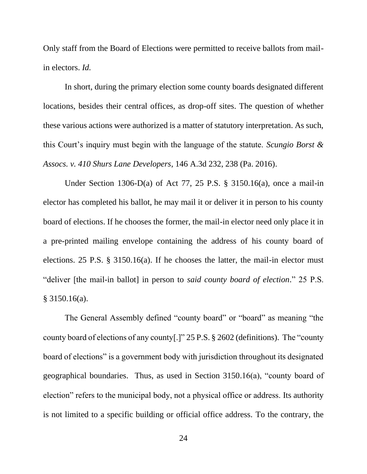Only staff from the Board of Elections were permitted to receive ballots from mailin electors. *Id.*

In short, during the primary election some county boards designated different locations, besides their central offices, as drop-off sites. The question of whether these various actions were authorized is a matter of statutory interpretation. As such, this Court's inquiry must begin with the language of the statute. *Scungio Borst & Assocs. v. 410 Shurs Lane Developers*, 146 A.3d 232, 238 (Pa. 2016).

Under Section 1306-D(a) of Act 77, 25 P.S. § 3150.16(a), once a mail-in elector has completed his ballot, he may mail it or deliver it in person to his county board of elections. If he chooses the former, the mail-in elector need only place it in a pre-printed mailing envelope containing the address of his county board of elections. 25 P.S. § 3150.16(a). If he chooses the latter, the mail-in elector must "deliver [the mail-in ballot] in person to *said county board of election*." 25 P.S. § 3150.16(a).

The General Assembly defined "county board" or "board" as meaning "the county board of elections of any county[.]" 25 P.S. § 2602 (definitions). The "county board of elections" is a government body with jurisdiction throughout its designated geographical boundaries. Thus, as used in Section 3150.16(a), "county board of election" refers to the municipal body, not a physical office or address. Its authority is not limited to a specific building or official office address. To the contrary, the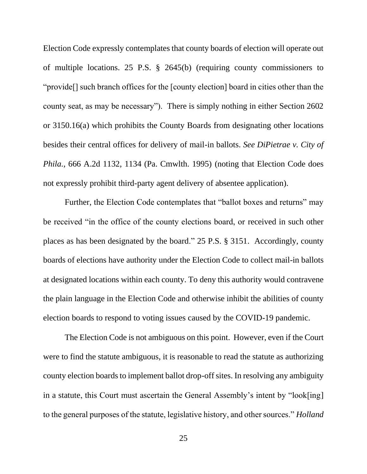Election Code expressly contemplates that county boards of election will operate out of multiple locations. 25 P.S. § 2645(b) (requiring county commissioners to "provide[] such branch offices for the [county election] board in cities other than the county seat, as may be necessary"). There is simply nothing in either Section 2602 or 3150.16(a) which prohibits the County Boards from designating other locations besides their central offices for delivery of mail-in ballots. *See DiPietrae v. City of Phila.*, 666 A.2d 1132, 1134 (Pa. Cmwlth. 1995) (noting that Election Code does not expressly prohibit third-party agent delivery of absentee application).

Further, the Election Code contemplates that "ballot boxes and returns" may be received "in the office of the county elections board, or received in such other places as has been designated by the board." 25 P.S. § 3151. Accordingly, county boards of elections have authority under the Election Code to collect mail-in ballots at designated locations within each county. To deny this authority would contravene the plain language in the Election Code and otherwise inhibit the abilities of county election boards to respond to voting issues caused by the COVID-19 pandemic.

The Election Code is not ambiguous on this point. However, even if the Court were to find the statute ambiguous, it is reasonable to read the statute as authorizing county election boards to implement ballot drop-off sites. In resolving any ambiguity in a statute, this Court must ascertain the General Assembly's intent by "look[ing] to the general purposes of the statute, legislative history, and other sources." *Holland*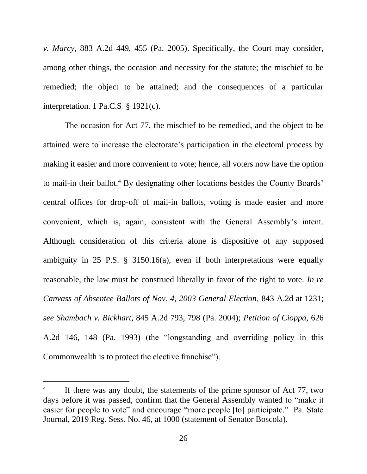*v. Marcy*, 883 A.2d 449, 455 (Pa. 2005). Specifically, the Court may consider, among other things, the occasion and necessity for the statute; the mischief to be remedied; the object to be attained; and the consequences of a particular interpretation. 1 Pa.C.S § 1921(c).

The occasion for Act 77, the mischief to be remedied, and the object to be attained were to increase the electorate's participation in the electoral process by making it easier and more convenient to vote; hence, all voters now have the option to mail-in their ballot.<sup>4</sup> By designating other locations besides the County Boards' central offices for drop-off of mail-in ballots, voting is made easier and more convenient, which is, again, consistent with the General Assembly's intent. Although consideration of this criteria alone is dispositive of any supposed ambiguity in 25 P.S. § 3150.16(a), even if both interpretations were equally reasonable, the law must be construed liberally in favor of the right to vote. *In re Canvass of Absentee Ballots of Nov. 4, 2003 General Election*, 843 A.2d at 1231; *see Shambach v. Bickhart*, 845 A.2d 793, 798 (Pa. 2004); *Petition of Cioppa*, 626 A.2d 146, 148 (Pa. 1993) (the "longstanding and overriding policy in this Commonwealth is to protect the elective franchise").

<sup>4</sup> If there was any doubt, the statements of the prime sponsor of Act 77, two days before it was passed, confirm that the General Assembly wanted to "make it easier for people to vote" and encourage "more people [to] participate." Pa. State Journal, 2019 Reg. Sess. No. 46, at 1000 (statement of Senator Boscola).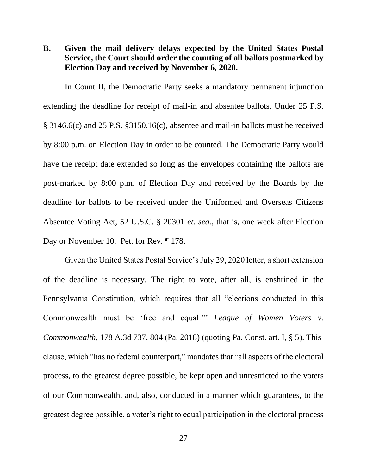<span id="page-35-0"></span>**B. Given the mail delivery delays expected by the United States Postal Service, the Court should order the counting of all ballots postmarked by Election Day and received by November 6, 2020.**

In Count II, the Democratic Party seeks a mandatory permanent injunction extending the deadline for receipt of mail-in and absentee ballots. Under 25 P.S. § 3146.6(c) and 25 P.S. §3150.16(c), absentee and mail-in ballots must be received by 8:00 p.m. on Election Day in order to be counted. The Democratic Party would have the receipt date extended so long as the envelopes containing the ballots are post-marked by 8:00 p.m. of Election Day and received by the Boards by the deadline for ballots to be received under the Uniformed and Overseas Citizens Absentee Voting Act, 52 U.S.C. § 20301 *et. seq.*, that is, one week after Election Day or November 10. Pet. for Rev. ¶ 178.

Given the United States Postal Service's July 29, 2020 letter, a short extension of the deadline is necessary. The right to vote, after all, is enshrined in the Pennsylvania Constitution, which requires that all "elections conducted in this Commonwealth must be 'free and equal.'" *League of Women Voters v. Commonwealth*, 178 A.3d 737, 804 (Pa. 2018) (quoting Pa. Const. art. I, § 5). This clause, which "has no federal counterpart," mandates that "all aspects of the electoral process, to the greatest degree possible, be kept open and unrestricted to the voters of our Commonwealth, and, also, conducted in a manner which guarantees, to the greatest degree possible, a voter's right to equal participation in the electoral process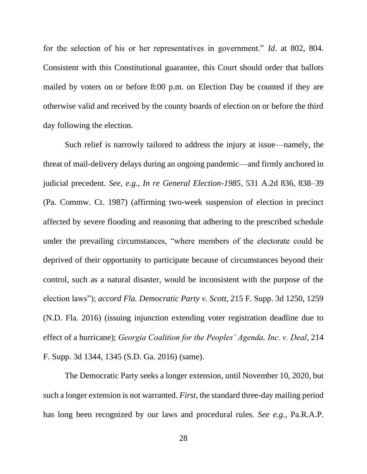for the selection of his or her representatives in government." *Id*. at 802, 804. Consistent with this Constitutional guarantee, this Court should order that ballots mailed by voters on or before 8:00 p.m. on Election Day be counted if they are otherwise valid and received by the county boards of election on or before the third day following the election.

Such relief is narrowly tailored to address the injury at issue—namely, the threat of mail-delivery delays during an ongoing pandemic—and firmly anchored in judicial precedent. *See, e.g., In re General Election-1985*, 531 A.2d 836, 838–39 (Pa. Commw. Ct. 1987) (affirming two-week suspension of election in precinct affected by severe flooding and reasoning that adhering to the prescribed schedule under the prevailing circumstances, "where members of the electorate could be deprived of their opportunity to participate because of circumstances beyond their control, such as a natural disaster, would be inconsistent with the purpose of the election laws"); *accord Fla. Democratic Party v. Scott*, 215 F. Supp. 3d 1250, 1259 (N.D. Fla. 2016) (issuing injunction extending voter registration deadline due to effect of a hurricane); *Georgia Coalition for the Peoples' Agenda, Inc. v. Deal*, 214 F. Supp. 3d 1344, 1345 (S.D. Ga. 2016) (same).

The Democratic Party seeks a longer extension, until November 10, 2020, but such a longer extension is not warranted. *First*, the standard three-day mailing period has long been recognized by our laws and procedural rules. *See e.g.,* Pa.R.A.P.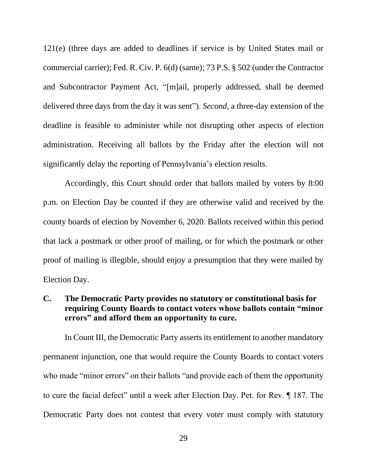121(e) (three days are added to deadlines if service is by United States mail or commercial carrier); Fed. R. Civ. P. 6(d) (same); 73 P.S. § 502 (under the Contractor and Subcontractor Payment Act, "[m]ail, properly addressed, shall be deemed delivered three days from the day it was sent"). *Second*, a three-day extension of the deadline is feasible to administer while not disrupting other aspects of election administration. Receiving all ballots by the Friday after the election will not significantly delay the reporting of Pennsylvania's election results.

Accordingly, this Court should order that ballots mailed by voters by 8:00 p.m. on Election Day be counted if they are otherwise valid and received by the county boards of election by November 6, 2020. Ballots received within this period that lack a postmark or other proof of mailing, or for which the postmark or other proof of mailing is illegible, should enjoy a presumption that they were mailed by Election Day.

### <span id="page-37-0"></span>**C. The Democratic Party provides no statutory or constitutional basis for requiring County Boards to contact voters whose ballots contain "minor errors" and afford them an opportunity to cure.**

In Count III, the Democratic Party asserts its entitlement to another mandatory permanent injunction, one that would require the County Boards to contact voters who made "minor errors" on their ballots "and provide each of them the opportunity to cure the facial defect" until a week after Election Day. Pet. for Rev. ¶ 187. The Democratic Party does not contest that every voter must comply with statutory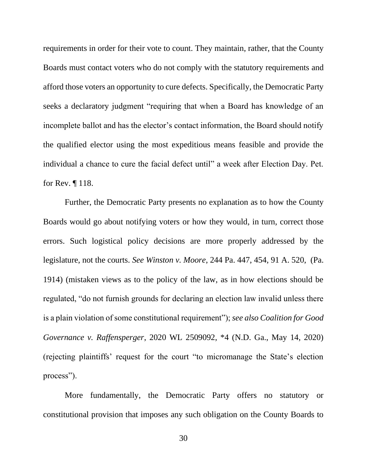requirements in order for their vote to count. They maintain, rather, that the County Boards must contact voters who do not comply with the statutory requirements and afford those voters an opportunity to cure defects. Specifically, the Democratic Party seeks a declaratory judgment "requiring that when a Board has knowledge of an incomplete ballot and has the elector's contact information, the Board should notify the qualified elector using the most expeditious means feasible and provide the individual a chance to cure the facial defect until" a week after Election Day. Pet. for Rev. ¶ 118.

Further, the Democratic Party presents no explanation as to how the County Boards would go about notifying voters or how they would, in turn, correct those errors. Such logistical policy decisions are more properly addressed by the legislature, not the courts. *See Winston v. Moore*, 244 Pa. 447, 454, 91 A. 520, (Pa. 1914) (mistaken views as to the policy of the law, as in how elections should be regulated, "do not furnish grounds for declaring an election law invalid unless there is a plain violation of some constitutional requirement"); *see also Coalition for Good Governance v. Raffensperger*, 2020 WL 2509092, \*4 (N.D. Ga., May 14, 2020) (rejecting plaintiffs' request for the court "to micromanage the State's election process").

More fundamentally, the Democratic Party offers no statutory or constitutional provision that imposes any such obligation on the County Boards to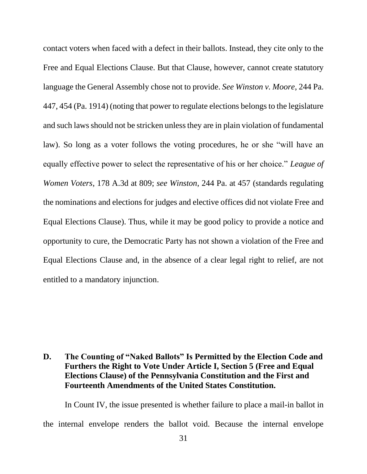contact voters when faced with a defect in their ballots. Instead, they cite only to the Free and Equal Elections Clause. But that Clause, however, cannot create statutory language the General Assembly chose not to provide. *See Winston v. Moore*, 244 Pa. 447, 454 (Pa. 1914) (noting that power to regulate elections belongs to the legislature and such laws should not be stricken unless they are in plain violation of fundamental law). So long as a voter follows the voting procedures, he or she "will have an equally effective power to select the representative of his or her choice." *League of Women Voters*, 178 A.3d at 809; *see Winston*, 244 Pa. at 457 (standards regulating the nominations and elections for judges and elective offices did not violate Free and Equal Elections Clause). Thus, while it may be good policy to provide a notice and opportunity to cure, the Democratic Party has not shown a violation of the Free and Equal Elections Clause and, in the absence of a clear legal right to relief, are not entitled to a mandatory injunction.

# <span id="page-39-0"></span>**D. The Counting of "Naked Ballots" Is Permitted by the Election Code and Furthers the Right to Vote Under Article I, Section 5 (Free and Equal Elections Clause) of the Pennsylvania Constitution and the First and Fourteenth Amendments of the United States Constitution.**

In Count IV, the issue presented is whether failure to place a mail-in ballot in the internal envelope renders the ballot void. Because the internal envelope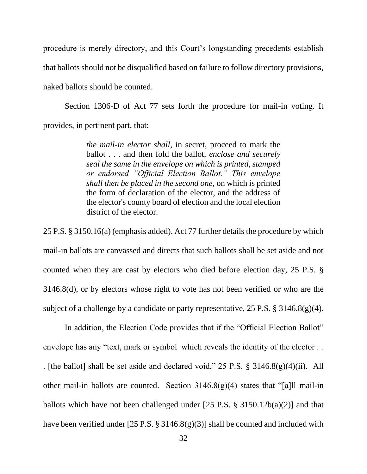procedure is merely directory, and this Court's longstanding precedents establish that ballots should not be disqualified based on failure to follow directory provisions, naked ballots should be counted.

Section 1306-D of Act 77 sets forth the procedure for mail-in voting. It provides, in pertinent part, that:

> *the mail-in elector shall*, in secret, proceed to mark the ballot . . . and then fold the ballot, *enclose and securely seal the same in the envelope on which is printed, stamped or endorsed "Official Election Ballot." This envelope shall then be placed in the second one*, on which is printed the form of declaration of the elector, and the address of the elector's county board of election and the local election district of the elector.

25 P.S. § 3150.16(a) (emphasis added). Act 77 further details the procedure by which mail-in ballots are canvassed and directs that such ballots shall be set aside and not counted when they are cast by electors who died before election day, 25 P.S. § 3146.8(d), or by electors whose right to vote has not been verified or who are the subject of a challenge by a candidate or party representative,  $25$  P.S. § 3146.8(g)(4).

In addition, the Election Code provides that if the "Official Election Ballot" envelope has any "text, mark or symbol which reveals the identity of the elector . . . [the ballot] shall be set aside and declared void," 25 P.S. § 3146.8(g)(4)(ii). All other mail-in ballots are counted. Section  $3146.8(g)(4)$  states that "[a]ll mail-in ballots which have not been challenged under  $[25 \text{ P.S. } § 3150.12b(a)(2)]$  and that have been verified under [25 P.S. § 3146.8(g)(3)] shall be counted and included with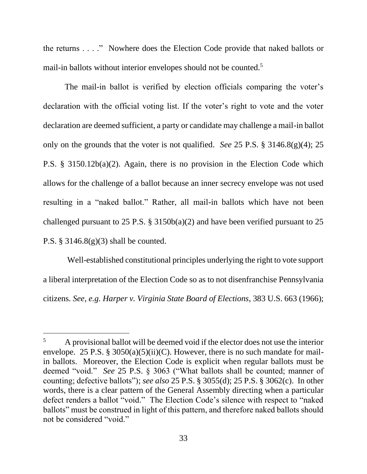the returns . . . ." Nowhere does the Election Code provide that naked ballots or mail-in ballots without interior envelopes should not be counted.<sup>5</sup>

The mail-in ballot is verified by election officials comparing the voter's declaration with the official voting list. If the voter's right to vote and the voter declaration are deemed sufficient, a party or candidate may challenge a mail-in ballot only on the grounds that the voter is not qualified. *See* 25 P.S. § 3146.8(g)(4); 25 P.S. § 3150.12b(a)(2). Again, there is no provision in the Election Code which allows for the challenge of a ballot because an inner secrecy envelope was not used resulting in a "naked ballot." Rather, all mail-in ballots which have not been challenged pursuant to 25 P.S.  $\S$  3150b(a)(2) and have been verified pursuant to 25 P.S. § 3146.8(g)(3) shall be counted.

Well-established constitutional principles underlying the right to vote support a liberal interpretation of the Election Code so as to not disenfranchise Pennsylvania citizens. *See, e.g. Harper v. Virginia State Board of Elections*, 383 U.S. 663 (1966);

<sup>5</sup> A provisional ballot will be deemed void if the elector does not use the interior envelope. 25 P.S. § 3050(a)(5)(ii)(C). However, there is no such mandate for mailin ballots. Moreover, the Election Code is explicit when regular ballots must be deemed "void." *See* 25 P.S. § 3063 ("What ballots shall be counted; manner of counting; defective ballots"); *see also* 25 P.S. § 3055(d); 25 P.S. § 3062(c). In other words, there is a clear pattern of the General Assembly directing when a particular defect renders a ballot "void." The Election Code's silence with respect to "naked ballots" must be construed in light of this pattern, and therefore naked ballots should not be considered "void."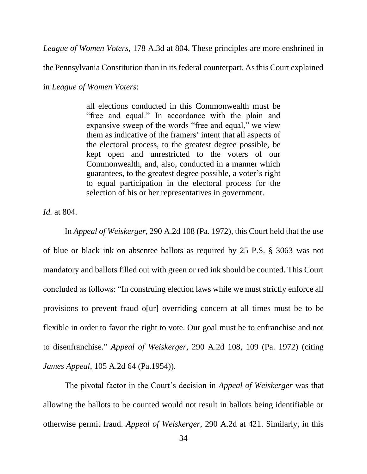*League of Women Voters,* 178 A.3d at 804. These principles are more enshrined in

the Pennsylvania Constitution than in its federal counterpart. As this Court explained

in *League of Women Voters*:

all elections conducted in this Commonwealth must be "free and equal." In accordance with the plain and expansive sweep of the words "free and equal," we view them as indicative of the framers' intent that all aspects of the electoral process, to the greatest degree possible, be kept open and unrestricted to the voters of our Commonwealth, and, also, conducted in a manner which guarantees, to the greatest degree possible, a voter's right to equal participation in the electoral process for the selection of his or her representatives in government.

*Id.* at 804.

In *Appeal of Weiskerger*, 290 A.2d 108 (Pa. 1972), this Court held that the use of blue or black ink on absentee ballots as required by 25 P.S. § 3063 was not mandatory and ballots filled out with green or red ink should be counted. This Court concluded as follows: "In construing election laws while we must strictly enforce all provisions to prevent fraud o[ur] overriding concern at all times must be to be flexible in order to favor the right to vote. Our goal must be to enfranchise and not to disenfranchise." *Appeal of Weiskerger*, 290 A.2d 108, 109 (Pa. 1972) (citing *James Appeal*, 105 A.2d 64 (Pa.1954)).

The pivotal factor in the Court's decision in *Appeal of Weiskerger* was that allowing the ballots to be counted would not result in ballots being identifiable or otherwise permit fraud. *Appeal of Weiskerger*, 290 A.2d at 421. Similarly, in this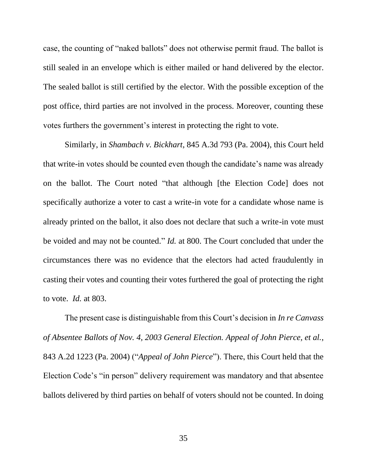case, the counting of "naked ballots" does not otherwise permit fraud. The ballot is still sealed in an envelope which is either mailed or hand delivered by the elector. The sealed ballot is still certified by the elector. With the possible exception of the post office, third parties are not involved in the process. Moreover, counting these votes furthers the government's interest in protecting the right to vote.

Similarly, in *Shambach v. Bickhart*, 845 A.3d 793 (Pa. 2004), this Court held that write-in votes should be counted even though the candidate's name was already on the ballot. The Court noted "that although [the Election Code] does not specifically authorize a voter to cast a write-in vote for a candidate whose name is already printed on the ballot, it also does not declare that such a write-in vote must be voided and may not be counted." *Id.* at 800. The Court concluded that under the circumstances there was no evidence that the electors had acted fraudulently in casting their votes and counting their votes furthered the goal of protecting the right to vote. *Id.* at 803.

The present case is distinguishable from this Court's decision in *In re Canvass of Absentee Ballots of Nov. 4, 2003 General Election. Appeal of John Pierce, et al.*, 843 A.2d 1223 (Pa. 2004) ("*Appeal of John Pierce*"). There, this Court held that the Election Code's "in person" delivery requirement was mandatory and that absentee ballots delivered by third parties on behalf of voters should not be counted. In doing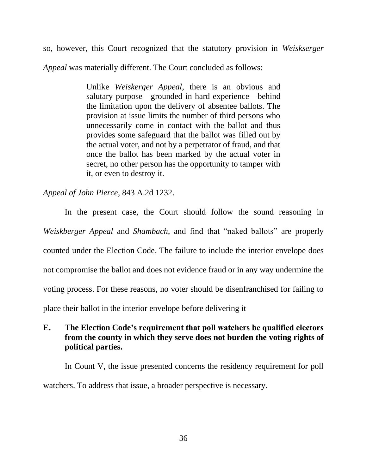so, however, this Court recognized that the statutory provision in *Weiskserger Appeal* was materially different. The Court concluded as follows:

> Unlike *Weiskerger Appeal*, there is an obvious and salutary purpose—grounded in hard experience—behind the limitation upon the delivery of absentee ballots. The provision at issue limits the number of third persons who unnecessarily come in contact with the ballot and thus provides some safeguard that the ballot was filled out by the actual voter, and not by a perpetrator of fraud, and that once the ballot has been marked by the actual voter in secret, no other person has the opportunity to tamper with it, or even to destroy it.

*Appeal of John Pierce*, 843 A.2d 1232.

In the present case, the Court should follow the sound reasoning in *Weiskberger Appeal* and *Shambach,* and find that "naked ballots" are properly counted under the Election Code. The failure to include the interior envelope does not compromise the ballot and does not evidence fraud or in any way undermine the voting process. For these reasons, no voter should be disenfranchised for failing to place their ballot in the interior envelope before delivering it

# <span id="page-44-0"></span>**E. The Election Code's requirement that poll watchers be qualified electors from the county in which they serve does not burden the voting rights of political parties.**

In Count V, the issue presented concerns the residency requirement for poll watchers. To address that issue, a broader perspective is necessary.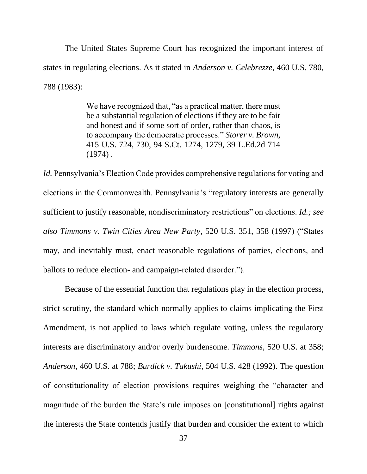The United States Supreme Court has recognized the important interest of states in regulating elections. As it stated in *Anderson v. Celebrezze*, 460 U.S. 780, 788 (1983):

> We have recognized that, "as a practical matter, there must be a substantial regulation of elections if they are to be fair and honest and if some sort of order, rather than chaos, is to accompany the democratic processes." *[Storer v. Brown,](https://1.next.westlaw.com/Link/Document/FullText?findType=Y&serNum=1974127154&pubNum=0000708&originatingDoc=I221e07be9bf011d993e6d35cc61aab4a&refType=RP&fi=co_pp_sp_708_1279&originationContext=document&transitionType=DocumentItem&contextData=(sc.Folder*cid.860acc2e5d264740b64d623391127f94*oc.UserEnteredCitation)#co_pp_sp_708_1279)* [415 U.S. 724, 730, 94 S.Ct. 1274, 1279, 39 L.Ed.2d 714](https://1.next.westlaw.com/Link/Document/FullText?findType=Y&serNum=1974127154&pubNum=0000708&originatingDoc=I221e07be9bf011d993e6d35cc61aab4a&refType=RP&fi=co_pp_sp_708_1279&originationContext=document&transitionType=DocumentItem&contextData=(sc.Folder*cid.860acc2e5d264740b64d623391127f94*oc.UserEnteredCitation)#co_pp_sp_708_1279)   $(1974)$ .

*Id.* Pennsylvania's Election Code provides comprehensive regulations for voting and elections in the Commonwealth. Pennsylvania's "regulatory interests are generally sufficient to justify reasonable, nondiscriminatory restrictions" on elections. *Id.; see also Timmons v. Twin Cities Area New Party*, 520 U.S. 351, 358 (1997) ("States may, and inevitably must, enact reasonable regulations of parties, elections, and ballots to reduce election- and campaign-related disorder.").

Because of the essential function that regulations play in the election process, strict scrutiny, the standard which normally applies to claims implicating the First Amendment, is not applied to laws which regulate voting, unless the regulatory interests are discriminatory and/or overly burdensome. *Timmons,* 520 U.S. at 358; *Anderson*, 460 U.S. at 788; *Burdick v. Takushi*, 504 U.S. 428 (1992). The question of constitutionality of election provisions requires weighing the "character and magnitude of the burden the State's rule imposes on [constitutional] rights against the interests the State contends justify that burden and consider the extent to which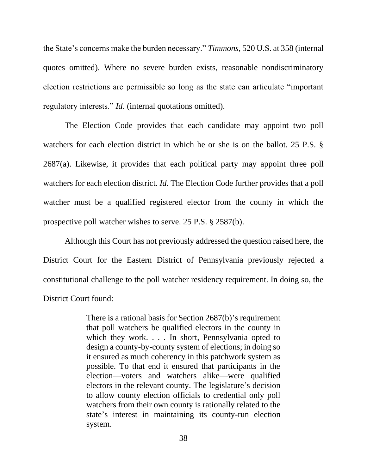the State's concerns make the burden necessary." *Timmons*, 520 U.S. at 358 (internal quotes omitted). Where no severe burden exists, reasonable nondiscriminatory election restrictions are permissible so long as the state can articulate "important regulatory interests." *Id*. (internal quotations omitted).

The Election Code provides that each candidate may appoint two poll watchers for each election district in which he or she is on the ballot. 25 P.S. § 2687(a). Likewise, it provides that each political party may appoint three poll watchers for each election district. *Id.* The Election Code further provides that a poll watcher must be a qualified registered elector from the county in which the prospective poll watcher wishes to serve. 25 P.S. § 2587(b).

Although this Court has not previously addressed the question raised here, the District Court for the Eastern District of Pennsylvania previously rejected a constitutional challenge to the poll watcher residency requirement. In doing so, the District Court found:

> There is a rational basis for Section 2687(b)'s requirement that poll watchers be qualified electors in the county in which they work. . . . In short, Pennsylvania opted to design a county-by-county system of elections; in doing so it ensured as much coherency in this patchwork system as possible. To that end it ensured that participants in the election—voters and watchers alike—were qualified electors in the relevant county. The legislature's decision to allow county election officials to credential only poll watchers from their own county is rationally related to the state's interest in maintaining its county-run election system.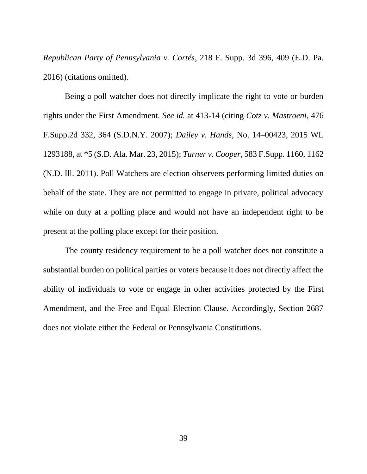*Republican Party of Pennsylvania v. Cortés*, 218 F. Supp. 3d 396, 409 (E.D. Pa. 2016) (citations omitted).

Being a poll watcher does not directly implicate the right to vote or burden rights under the First Amendment. *See id.* at 413-14 (citing *Cotz v. Mastroeni*, 476 F.Supp.2d 332, 364 (S.D.N.Y. 2007); *Dailey v. Hands*, No. 14–00423, 2015 WL 1293188, at \*5 (S.D. Ala. Mar. 23, 2015); *Turner v. Cooper*, 583 F.Supp. 1160, 1162 (N.D. Ill. 2011). Poll Watchers are election observers performing limited duties on behalf of the state. They are not permitted to engage in private, political advocacy while on duty at a polling place and would not have an independent right to be present at the polling place except for their position.

The county residency requirement to be a poll watcher does not constitute a substantial burden on political parties or voters because it does not directly affect the ability of individuals to vote or engage in other activities protected by the First Amendment, and the Free and Equal Election Clause. Accordingly, Section 2687 does not violate either the Federal or Pennsylvania Constitutions.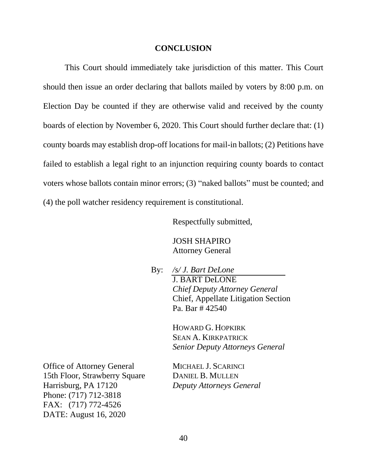#### **CONCLUSION**

<span id="page-48-0"></span>This Court should immediately take jurisdiction of this matter. This Court should then issue an order declaring that ballots mailed by voters by 8:00 p.m. on Election Day be counted if they are otherwise valid and received by the county boards of election by November 6, 2020. This Court should further declare that: (1) county boards may establish drop-off locations for mail-in ballots; (2) Petitions have failed to establish a legal right to an injunction requiring county boards to contact voters whose ballots contain minor errors; (3) "naked ballots" must be counted; and (4) the poll watcher residency requirement is constitutional.

Respectfully submitted,

JOSH SHAPIRO Attorney General

By: */s/ J. Bart DeLone* J. BART DeLONE *Chief Deputy Attorney General* Chief, Appellate Litigation Section Pa. Bar # 42540

> HOWARD G. HOPKIRK SEAN A. KIRKPATRICK *Senior Deputy Attorneys General*

Office of Attorney General MICHAEL J. SCARINCI 15th Floor, Strawberry Square DANIEL B. MULLEN Harrisburg, PA 17120 *Deputy Attorneys General* Phone: (717) 712-3818 FAX: (717) 772-4526 DATE: August 16, 2020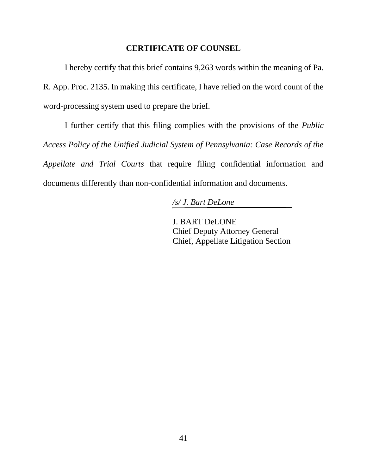#### **CERTIFICATE OF COUNSEL**

I hereby certify that this brief contains 9,263 words within the meaning of Pa. R. App. Proc. 2135. In making this certificate, I have relied on the word count of the word-processing system used to prepare the brief.

I further certify that this filing complies with the provisions of the *Public Access Policy of the Unified Judicial System of Pennsylvania: Case Records of the Appellate and Trial Courts* that require filing confidential information and documents differently than non-confidential information and documents.

*/s/ J. Bart DeLone*

J. BART DeLONE Chief Deputy Attorney General Chief, Appellate Litigation Section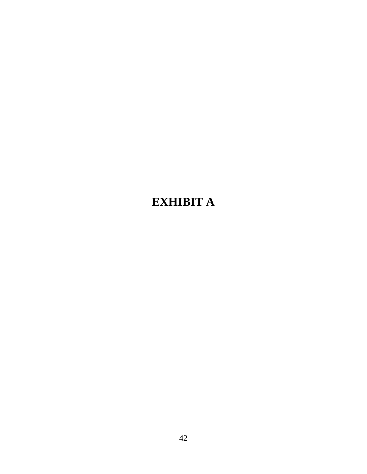# **EXHIBIT A**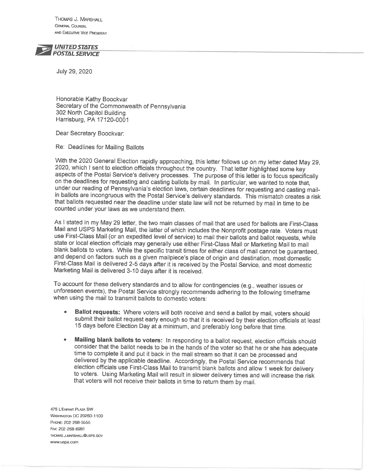THOMAS J. MARSHALL **GENERAL COUNSEL** AND EXECUTIVE VICE PRESIDENT

**UNITED STATES POSTAL SERVICE** 

July 29, 2020

Honorable Kathy Boockvar Secretary of the Commonwealth of Pennsylvania 302 North Capitol Building Harrisburg, PA 17120-0001

Dear Secretary Boockvar:

Re: Deadlines for Mailing Ballots

With the 2020 General Election rapidly approaching, this letter follows up on my letter dated May 29, 2020, which I sent to election officials throughout the country. That letter highlighted some key aspects of the Postal Service's delivery processes. The purpose of this letter is to focus specifically on the deadlines for requesting and casting ballots by mail. In particular, we wanted to note that, under our reading of Pennsylvania's election laws, certain deadlines for requesting and casting mailin ballots are incongruous with the Postal Service's delivery standards. This mismatch creates a risk that ballots requested near the deadline under state law will not be returned by mail in time to be counted under your laws as we understand them.

As I stated in my May 29 letter, the two main classes of mail that are used for ballots are First-Class Mail and USPS Marketing Mail, the latter of which includes the Nonprofit postage rate. Voters must use First-Class Mail (or an expedited level of service) to mail their ballots and ballot requests, while state or local election officials may generally use either First-Class Mail or Marketing Mail to mail blank ballots to voters. While the specific transit times for either class of mail cannot be guaranteed, and depend on factors such as a given mailpiece's place of origin and destination, most domestic First-Class Mail is delivered 2-5 days after it is received by the Postal Service, and most domestic Marketing Mail is delivered 3-10 days after it is received.

To account for these delivery standards and to allow for contingencies (e.g., weather issues or unforeseen events), the Postal Service strongly recommends adhering to the following timeframe when using the mail to transmit ballots to domestic voters:

- Ballot requests: Where voters will both receive and send a ballot by mail, voters should submit their ballot request early enough so that it is received by their election officials at least 15 days before Election Day at a minimum, and preferably long before that time.
- Mailing blank ballots to voters: In responding to a ballot request, election officials should consider that the ballot needs to be in the hands of the voter so that he or she has adequate time to complete it and put it back in the mail stream so that it can be processed and delivered by the applicable deadline. Accordingly, the Postal Service recommends that election officials use First-Class Mail to transmit blank ballots and allow 1 week for delivery to voters. Using Marketing Mail will result in slower delivery times and will increase the risk that voters will not receive their ballots in time to return them by mail.

475 L'ENFANT PLAZA SW **WASHINGTON DC 20260-1100** PHONE: 202-268-5555 FAX: 202-268-6981 THOMAS.J.MARSHALL@USPS.GOV www.usps.com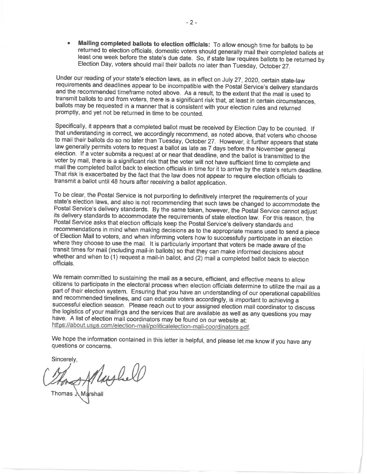Mailing completed ballots to election officials: To allow enough time for ballots to be returned to election officials, domestic voters should generally mail their completed ballots at least one week before the state's due date. So, if state law requires ballots to be returned by Election Day, voters should mail their ballots no later than Tuesday, October 27.

Under our reading of your state's election laws, as in effect on July 27, 2020, certain state-law requirements and deadlines appear to be incompatible with the Postal Service's delivery standards and the recommended timeframe noted above. As a result, to the extent that the mail is used to transmit ballots to and from voters, there is a significant risk that, at least in certain circumstances, ballots may be requested in a manner that is consistent with your election rules and returned promptly, and yet not be returned in time to be counted.

Specifically, it appears that a completed ballot must be received by Election Day to be counted. If that understanding is correct, we accordingly recommend, as noted above, that voters who choose to mail their ballots do so no later than Tuesday, October 27. However, it further appears that state law generally permits voters to request a ballot as late as 7 days before the November general election. If a voter submits a request at or near that deadline, and the ballot is transmitted to the voter by mail, there is a significant risk that the voter will not have sufficient time to complete and mail the completed ballot back to election officials in time for it to arrive by the state's return deadline. That risk is exacerbated by the fact that the law does not appear to require election officials to transmit a ballot until 48 hours after receiving a ballot application.

To be clear, the Postal Service is not purporting to definitively interpret the requirements of your state's election laws, and also is not recommending that such laws be changed to accommodate the Postal Service's delivery standards. By the same token, however, the Postal Service cannot adjust its delivery standards to accommodate the requirements of state election law. For this reason, the Postal Service asks that election officials keep the Postal Service's delivery standards and recommendations in mind when making decisions as to the appropriate means used to send a piece of Election Mail to voters, and when informing voters how to successfully participate in an election where they choose to use the mail. It is particularly important that voters be made aware of the transit times for mail (including mail-in ballots) so that they can make informed decisions about whether and when to (1) request a mail-in ballot, and (2) mail a completed ballot back to election officials.

We remain committed to sustaining the mail as a secure, efficient, and effective means to allow citizens to participate in the electoral process when election officials determine to utilize the mail as a part of their election system. Ensuring that you have an understanding of our operational capabilities and recommended timelines, and can educate voters accordingly, is important to achieving a successful election season. Please reach out to your assigned election mail coordinator to discuss the logistics of your mailings and the services that are available as well as any questions you may have. A list of election mail coordinators may be found on our website at: https://about.usps.com/election-mail/politicalelection-mail-coordinators.pdf.

We hope the information contained in this letter is helpful, and please let me know if you have any questions or concerns.

Sincerely,

Marghell

Thomas 人Marshall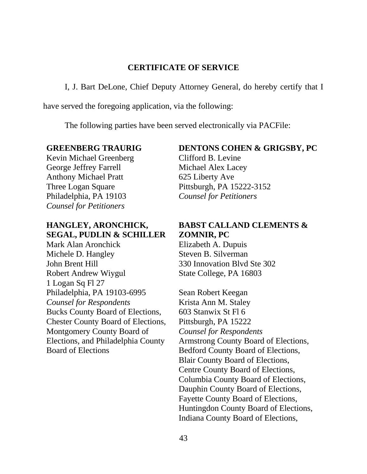### **CERTIFICATE OF SERVICE**

I, J. Bart DeLone, Chief Deputy Attorney General, do hereby certify that I

have served the foregoing application, via the following:

The following parties have been served electronically via PACFile:

#### **GREENBERG TRAURIG**

Kevin Michael Greenberg George Jeffrey Farrell Anthony Michael Pratt Three Logan Square Philadelphia, PA 19103 *Counsel for Petitioners*

# **HANGLEY, ARONCHICK, SEGAL, PUDLIN & SCHILLER**

Mark Alan Aronchick Michele D. Hangley John Brent Hill Robert Andrew Wiygul 1 Logan Sq Fl 27 Philadelphia, PA 19103-6995 *Counsel for Respondents*  Bucks County Board of Elections, Chester County Board of Elections, Montgomery County Board of Elections, and Philadelphia County Board of Elections

# **DENTONS COHEN & GRIGSBY, PC**

Clifford B. Levine Michael Alex Lacey 625 Liberty Ave Pittsburgh, PA 15222-3152 *Counsel for Petitioners*

# **BABST CALLAND CLEMENTS & ZOMNIR, PC**

Elizabeth A. Dupuis Steven B. Silverman 330 Innovation Blvd Ste 302 State College, PA 16803

Sean Robert Keegan Krista Ann M. Staley 603 Stanwix St Fl 6 Pittsburgh, PA 15222 *Counsel for Respondents* Armstrong County Board of Elections, Bedford County Board of Elections, Blair County Board of Elections, Centre County Board of Elections, Columbia County Board of Elections, Dauphin County Board of Elections, Fayette County Board of Elections, Huntingdon County Board of Elections, Indiana County Board of Elections,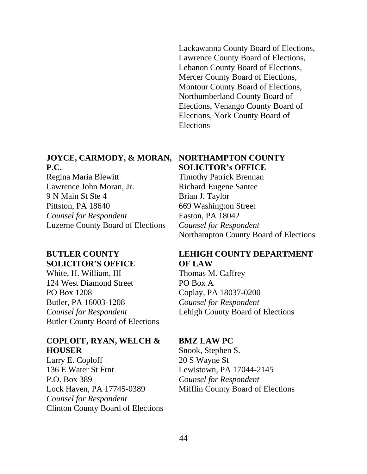Lackawanna County Board of Elections, Lawrence County Board of Elections, Lebanon County Board of Elections, Mercer County Board of Elections, Montour County Board of Elections, Northumberland County Board of Elections, Venango County Board of Elections, York County Board of Elections

# **JOYCE, CARMODY, & MORAN, P.C.**

Regina Maria Blewitt Lawrence John Moran, Jr. 9 N Main St Ste 4 Pittston, PA 18640 *Counsel for Respondent* Luzerne County Board of Elections

# **BUTLER COUNTY SOLICITOR'S OFFICE**

White, H. William, III 124 West Diamond Street PO Box 1208 Butler, PA 16003-1208 *Counsel for Respondent* Butler County Board of Elections

### **COPLOFF, RYAN, WELCH & HOUSER**

Larry E. Coploff 136 E Water St Frnt P.O. Box 389 Lock Haven, PA 17745-0389 *Counsel for Respondent* Clinton County Board of Elections

# **NORTHAMPTON COUNTY SOLICITOR's OFFICE**

Timothy Patrick Brennan Richard Eugene Santee Brian J. Taylor 669 Washington Street Easton, PA 18042 *Counsel for Respondent* Northampton County Board of Elections

# **LEHIGH COUNTY DEPARTMENT OF LAW**

Thomas M. Caffrey PO Box A Coplay, PA 18037-0200 *Counsel for Respondent* Lehigh County Board of Elections

# **BMZ LAW PC**

Snook, Stephen S. 20 S Wayne St Lewistown, PA 17044-2145 *Counsel for Respondent* Mifflin County Board of Elections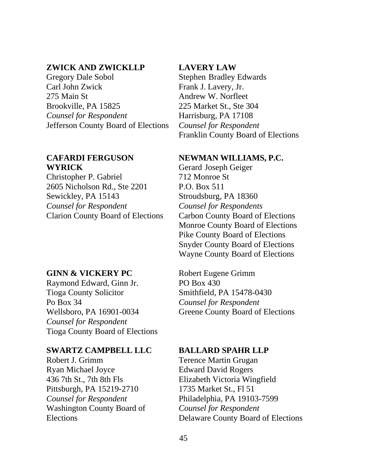### **ZWICK AND ZWICKLLP**

Gregory Dale Sobol Carl John Zwick 275 Main St Brookville, PA 15825 *Counsel for Respondent* Jefferson County Board of Elections

#### **CAFARDI FERGUSON WYRICK**

Christopher P. Gabriel 2605 Nicholson Rd., Ste 2201 Sewickley, PA 15143 *Counsel for Respondent* Clarion County Board of Elections

#### **GINN & VICKERY PC**

Raymond Edward, Ginn Jr. Tioga County Solicitor Po Box 34 Wellsboro, PA 16901-0034 *Counsel for Respondent* Tioga County Board of Elections

#### **SWARTZ CAMPBELL LLC**

Robert J. Grimm Ryan Michael Joyce 436 7th St., 7th 8th Fls Pittsburgh, PA 15219-2710 *Counsel for Respondent* Washington County Board of **Elections** 

#### **LAVERY LAW**

Stephen Bradley Edwards Frank J. Lavery, Jr. Andrew W. Norfleet 225 Market St., Ste 304 Harrisburg, PA 17108 *Counsel for Respondent* Franklin County Board of Elections

#### **NEWMAN WILLIAMS, P.C.**

Gerard Joseph Geiger 712 Monroe St P.O. Box 511 Stroudsburg, PA 18360 *Counsel for Respondents* Carbon County Board of Elections Monroe County Board of Elections Pike County Board of Elections Snyder County Board of Elections Wayne County Board of Elections

Robert Eugene Grimm PO Box 430 Smithfield, PA 15478-0430 *Counsel for Respondent* Greene County Board of Elections

#### **BALLARD SPAHR LLP**

Terence Martin Grugan Edward David Rogers Elizabeth Victoria Wingfield 1735 Market St., Fl 51 Philadelphia, PA 19103-7599 *Counsel for Respondent* Delaware County Board of Elections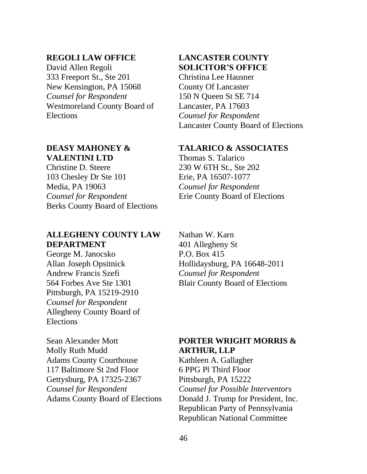#### **REGOLI LAW OFFICE**

David Allen Regoli 333 Freeport St., Ste 201 New Kensington, PA 15068 *Counsel for Respondent* Westmoreland County Board of Elections

# **DEASY MAHONEY & VALENTINI LTD**

Christine D. Steere 103 Chesley Dr Ste 101 Media, PA 19063 *Counsel for Respondent* Berks County Board of Elections

# **ALLEGHENY COUNTY LAW DEPARTMENT**

George M. Janocsko Allan Joseph Opsitnick Andrew Francis Szefi 564 Forbes Ave Ste 1301 Pittsburgh, PA 15219-2910 *Counsel for Respondent* Allegheny County Board of Elections

Sean Alexander Mott Molly Ruth Mudd Adams County Courthouse 117 Baltimore St 2nd Floor Gettysburg, PA 17325-2367 *Counsel for Respondent* Adams County Board of Elections

# **LANCASTER COUNTY SOLICITOR'S OFFICE**

Christina Lee Hausner County Of Lancaster 150 N Queen St SE 714 Lancaster, PA 17603 *Counsel for Respondent* Lancaster County Board of Elections

#### **TALARICO & ASSOCIATES**

Thomas S. Talarico 230 W 6TH St., Ste 202 Erie, PA 16507-1077 *Counsel for Respondent* Erie County Board of Elections

Nathan W. Karn 401 Allegheny St P.O. Box 415 Hollidaysburg, PA 16648-2011 *Counsel for Respondent* Blair County Board of Elections

# **PORTER WRIGHT MORRIS & ARTHUR, LLP**

Kathleen A. Gallagher 6 PPG Pl Third Floor Pittsburgh, PA 15222 *Counsel for Possible Interventors* Donald J. Trump for President, Inc. Republican Party of Pennsylvania Republican National Committee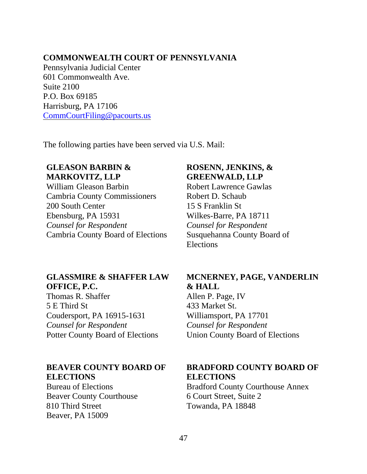### **COMMONWEALTH COURT OF PENNSYLVANIA**

Pennsylvania Judicial Center 601 Commonwealth Ave. Suite 2100 P.O. Box 69185 Harrisburg, PA 17106 [CommCourtFiling@pacourts.us](mailto:CommCourtFiling@pacourts.us)

The following parties have been served via U.S. Mail:

# **GLEASON BARBIN & MARKOVITZ, LLP**

William Gleason Barbin Cambria County Commissioners 200 South Center Ebensburg, PA 15931 *Counsel for Respondent* Cambria County Board of Elections

# **GLASSMIRE & SHAFFER LAW OFFICE, P.C.**

Thomas R. Shaffer 5 E Third St Coudersport, PA 16915-1631 *Counsel for Respondent* Potter County Board of Elections

# **BEAVER COUNTY BOARD OF ELECTIONS**

Bureau of Elections Beaver County Courthouse 810 Third Street Beaver, PA 15009

# **ROSENN, JENKINS, & GREENWALD, LLP**

Robert Lawrence Gawlas Robert D. Schaub 15 S Franklin St Wilkes-Barre, PA 18711 *Counsel for Respondent* Susquehanna County Board of Elections

# **MCNERNEY, PAGE, VANDERLIN & HALL**

Allen P. Page, IV 433 Market St. Williamsport, PA 17701 *Counsel for Respondent* Union County Board of Elections

# **BRADFORD COUNTY BOARD OF ELECTIONS**

Bradford County Courthouse Annex 6 Court Street, Suite 2 Towanda, PA 18848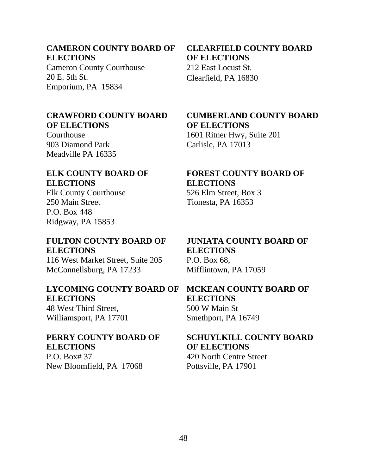### **CAMERON COUNTY BOARD OF ELECTIONS**

Cameron County Courthouse 20 E. 5th St. Emporium, PA 15834

### **CRAWFORD COUNTY BOARD OF ELECTIONS**

Courthouse 903 Diamond Park Meadville PA 16335

# **ELK COUNTY BOARD OF ELECTIONS**

Elk County Courthouse 250 Main Street P.O. Box 448 Ridgway, PA 15853

# **FULTON COUNTY BOARD OF ELECTIONS**

116 West Market Street, Suite 205 McConnellsburg, PA 17233

# **LYCOMING COUNTY BOARD OF ELECTIONS**

48 West Third Street, Williamsport, PA 17701

# **PERRY COUNTY BOARD OF ELECTIONS**

P.O. Box# 37 New Bloomfield, PA 17068

**CLEARFIELD COUNTY BOARD OF ELECTIONS** 212 East Locust St. Clearfield, PA 16830

# **CUMBERLAND COUNTY BOARD OF ELECTIONS** 1601 Ritner Hwy, Suite 201 Carlisle, PA 17013

**FOREST COUNTY BOARD OF** 

# **ELECTIONS**

526 Elm Street, Box 3 Tionesta, PA 16353

### **JUNIATA COUNTY BOARD OF ELECTIONS** P.O. Box 68, Mifflintown, PA 17059

# **MCKEAN COUNTY BOARD OF ELECTIONS** 500 W Main St Smethport, PA 16749

# **SCHUYLKILL COUNTY BOARD OF ELECTIONS** 420 North Centre Street Pottsville, PA 17901